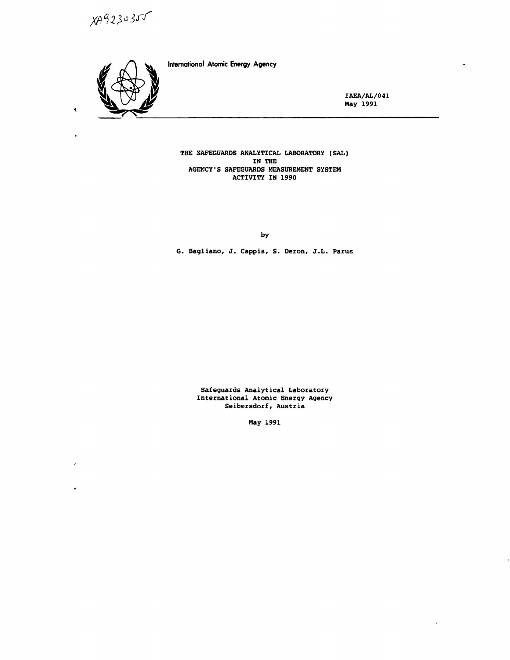$XA9230355$ 



 $\hat{\mathbf{v}}$ 

×

 $\lambda$ 

 $\ddot{\phantom{0}}$ 

International Atomic Energy Agency

IAEA/AL/041 May 1991

 $\overline{a}$ 

THE SAFEGUARDS ANALYTICAL LABORATORY (SAL) IN THE AGENCY'S SAFEGUARDS MEASUREMENT SYSTEM ACTIVITY IN 1990

by

G. Bagliano, J. Cappis, S. Deron, J.L. Parus

Safeguards Analytical Laboratory International Atomic Energy Agency Seibersdorf, Austria

May 1991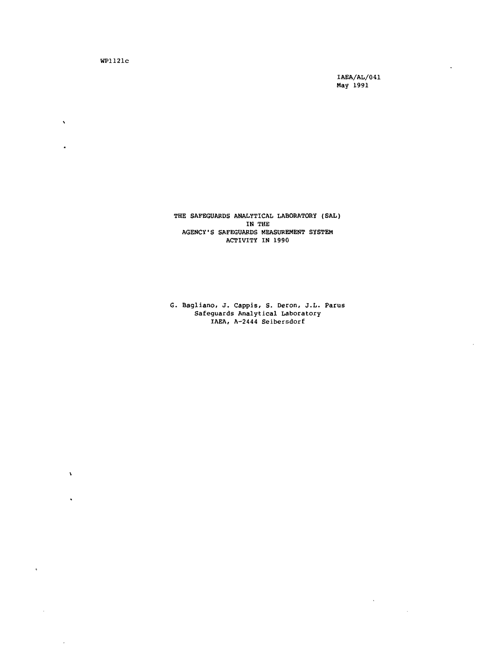WP1121C

 $\ddot{\phantom{0}}$ 

 $\mathbf{r}$ 

 $\mathbf{v}$ 

 $\ddot{\phantom{0}}$ 

 $\,$   $\,$ 

 $\bar{z}$ 

IAEA/AL/041 May 1991

 $\sim$   $\sim$ 

 $\sim$ 

l,

 $\bar{z}$ 

THE SAFEGUARDS ANALYTICAL LABORATORY (SAL) IN THE AGENCY'S SAFEGUARDS MEASUREMENT SYSTEM ACTIVITY IN 1990

G. Bagliano, J. Cappis, S. Deron, j.L. Parus Safeguards Analytical Laboratory IAEA, A-2444 Seibetsdorf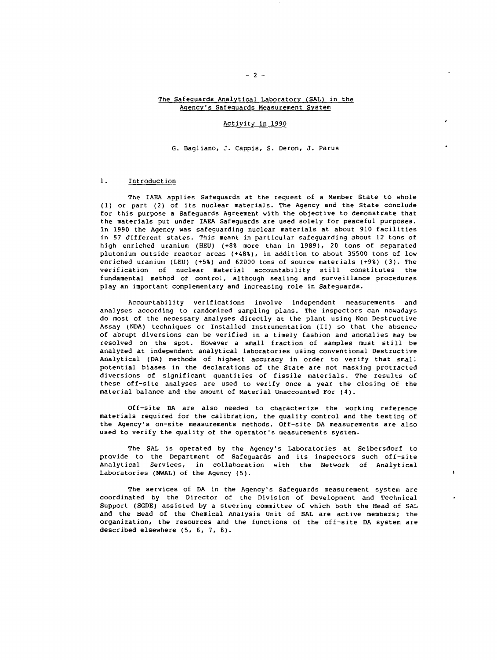## The Safeguards Analytical Laboratory (SAL) in the Agency's Safeguards Measurement System

### Activity in 1990

#### G. Bagliano, J. Cappis, S. Deron, J. Parus

# 1. Introduction

The IAEA applies Safeguards at the request of a Member State to whole (1) or part (2) of its nuclear materials. The Agency and the State conclude for this purpose a Safeguards Agreement with the objective to demonstrate that the materials put under IAEA Safeguards are used solely for peaceful purposes. In 1990 the Agency was safeguarding nuclear materials at about 910 facilities in 57 different states. This meant in particular safeguarding about 12 tons of high enriched uranium (HEU) (+8% more than in 1989), 20 tons of separated plutonium outside reactor areas (+48%), in addition to about 35500 tons of low enriched uranium (LEU) (+5%) and 62000 tons of source materials (+9%) (3). The verification of nuclear material accountability still constitutes the fundamental method of control, although sealing and surveillance procedures play an important complementary and increasing role in Safeguards.

Accountability verifications involve independent measurements and analyses according to randomized sampling plans. The inspectors can nowadays do most of the necessary analyses directly at the plant using Non Destructive Assay (NDA) techniques or Installed Instrumentation (II) so that the absence of abrupt diversions can be verified in a timely fashion and anomalies may be resolved on the spot. However a small fraction of samples must still be analyzed at independent analytical laboratories using conventional Destructive Analytical (DA) methods of highest accuracy in order to verify that small potential biases in the declarations of the State are not masking protracted diversions of significant quantities of fissile materials. The results of these off-site analyses are used to verify once a year the closing of the material balance and the amount of Material Unaccounted For (4).

Off-site DA are also needed to characterize the working reference materials required for the calibration, the quality control and the testing of the Agency's on-site measurements methods. Off-site DA measurements are also used to verify the quality of the operator's measurements system.

The SAL is operated by the Agency's Laboratories at Seibersdorf to provide to the Department of Safeguards and its inspectors such off-site Analytical Services, in collaboration with the Network of Analytical Laboratories (NWAL) of the Agency (5).

 $\mathbf{r}$ 

The services of DA in the Agency's Safeguards measurement system are coordinated by the Director of the Division of Development and Technical Support (SGDE) assisted by a steering committee of which both the Head of SAL and the Head of the Chemical Analysis Unit of SAL are active members; the organization, the resources and the functions of the off-site DA system are described elsewhere (5, 6, 7, B).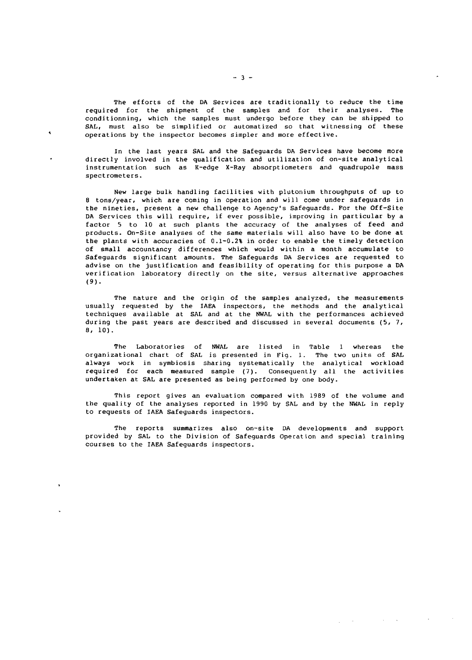The efforts of the DA Services are traditionally to reduce the time required for the shipment of the samples and for their analyses. The conditionning, which the samples must undergo before they can be shipped to SAL, must also be simplified or automatized so that witnessing of these operations by the inspector becomes simpler and more effective.

In the last years SAL and the Safeguards DA Services have become more directly involved in the qualification and utilization of on-site analytical instrumentation such as K-edge X-Ray absorptiometers and quadrupole mass spectrometers.

New large bulk handling facilities with plutonium throughputs of up to 8 tons/year, which are coming in operation and will come under safeguards in the nineties, present a new challenge to Agency's Safeguards. For the Off-Site DA Services this will require, if ever possible, improving in particular by a factor 5 to 10 at such plants the accuracy of the analyses of feed and products. On-Site analyses of the same materials will also have to be done at the plants with accuracies of 0.1-0.2% in order to enable the timely detection of small accountancy differences which would within a month accumulate to Safeguards significant amounts. The Safeguards DA Services are requested to advise on the justification and feasibility of operating for this purpose a DA verification laboratory directly on the site, versus alternative approaches (9).

The nature and the origin of the samples analyzed, the measurements usually requested by the IAEA inspectors, the methods and the analytical techniques available at SAL and at the NWAL with the performances achieved during the past years are described and discussed in several documents (5, 7, 8, 10).

The Laboratories of NWAL are listed in Table 1 whereas the organizational chart of SAL is presented in Fig. 1. The two units of SAL always work in symbiosis sharing systematically the analytical workload required for each measured sample (7). Consequently all the activities undertaken at SAL are presented as being performed by one body.

This report gives an evaluation compared with 1989 of the volume and the quality of the analyses reported in 1990 by SAL and by the NWAL in reply to requests of IAEA Safeguards inspectors.

The reports summarizes also on-site DA developments and support provided by SAL to the Division of Safeguards Operation and special training courses to the IAEA Safeguards inspectors.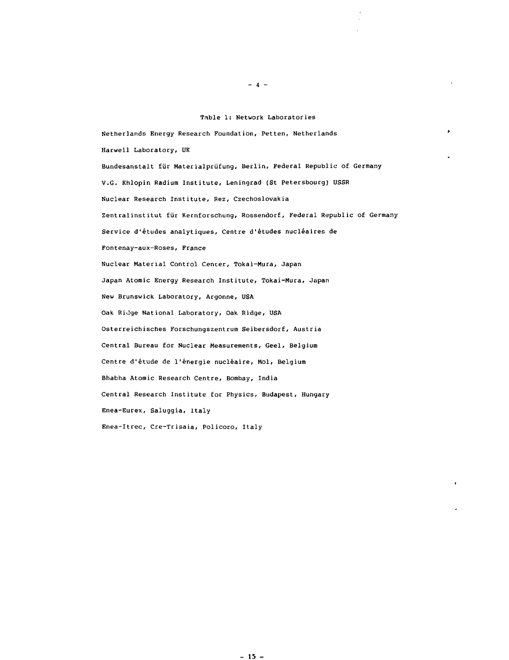#### Table 1: Network Laboratories

Netherlands Energy Research Foundation, Petten, Netherlands Harwell Laboratory, UK Bundesanstalt für Materialprüfung, Berlin, Federal Republic of Germany V.G. Khlopin Radium Institute, Leningrad (St Petersbourg) USSR Nuclear Research Institute, Rez, Czechoslovakia Zentralinstitut fiir Kernforschung, Rossendorf, Federal Republic of Germany Service d'études analytiques, Centre d'études nucléaires de Fontenay-aux-Roses, France Nuclear Material Control Center, Tokai-Mura, Japan Japan Atomic Energy Research Institute, Tokai-Mura, Japan New Brunswick Laboratory, Argonne, USA Oak Ridge National Laboratory, Oak Ridge, USA Osterreichisches Forschungszentrum Seibersdorf, Austria Central Bureau for Nuclear Measurements, Geel, Belgium Centre d'étude de l'énergie nucléaire, Mol, Belgium Bhabha Atomic Research Centre, Bombay, India Central Research Institute for Physics, Budapest, Hungary Enea-Eurex, Saluggia, Italy Enea-Itrec, Cre-Trisaia, Policoro, Italy

 $- 4 -$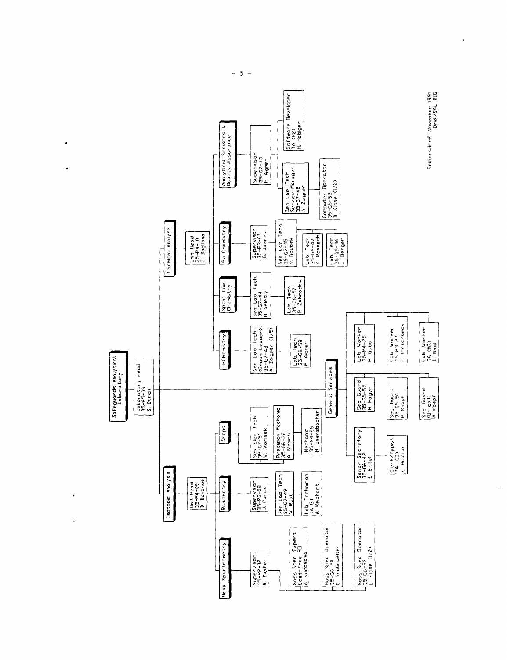

 $-5 -$ 

 $\hat{\mathbf{A}}$ 

 $\ddot{\phantom{0}}$ 

 $\ddot{\phantom{0}}$ 

 $\ddot{\phantom{a}}$ 

 $\bar{m}$ 

 $\frac{1}{\sqrt{2}}$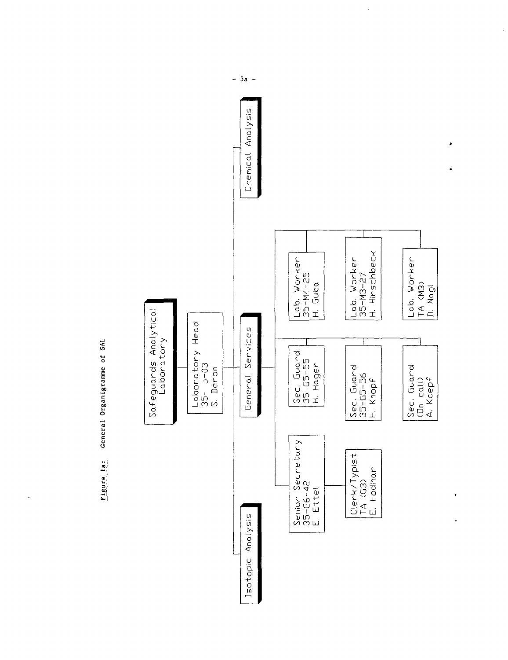General Organigramme of SAL Figure la:

 $\ddot{\phantom{0}}$ 



 $5a -$ ÷,

 $\overline{\phantom{a}}$ 

 $\ddot{\cdot}$ 

 $\blacksquare$ 

 $\cdot$ 

 $\overline{a}$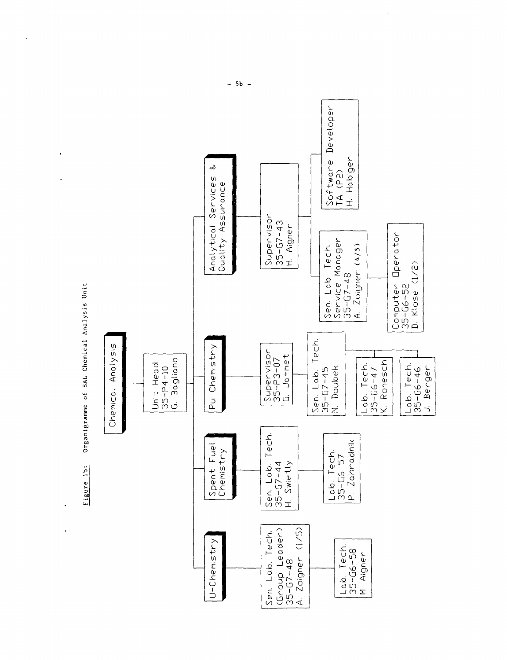

 $\ddot{\phantom{a}}$ 

 $\ddot{\phantom{1}}$ 

l,

 $-5b -$ 

 $\sim$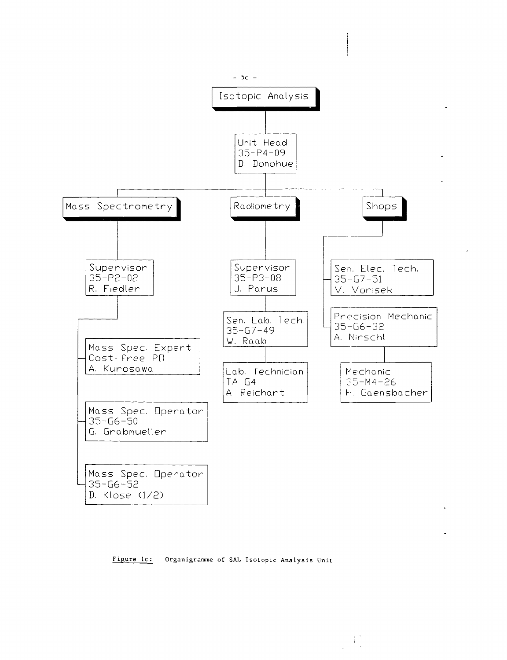

**Figure Ic: Organigramme of SAL IsoLopic Analysis Unit**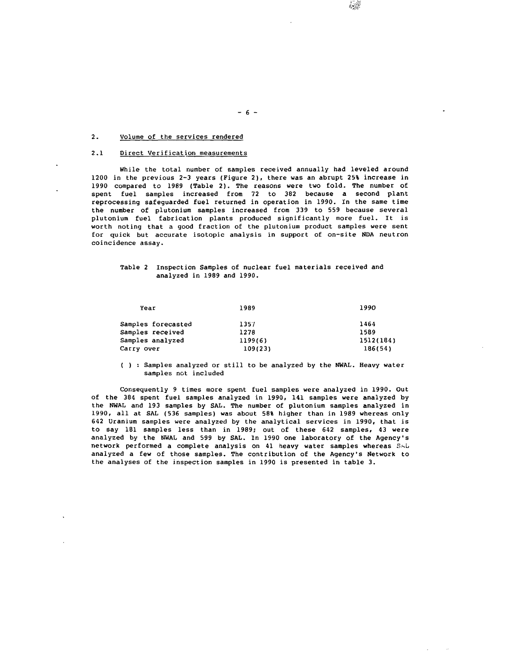# 2. Volume of the services rendered

# 2.1 Direct Verification measurements

While the total number of samples received annually had leveled around 1200 in the previous 2-3 years (Figure 2) , there was an abrupt 25% increase in 1990 compared to 1989 (Table 2). The reasons were two fold. The number of spent fuel samples increased from 72 to 382 because a second plant reprocessing safeguarded fuel returned in operation in 1990. In the same time the number of plutonium samples increased from 339 to 559 because several plutonium fuel fabrication plants produced significantly more fuel. It is worth noting that a good fraction of the plutonium product samples were sent for quick but accurate isotopic analysis in support of on-site NDA neutron coincidence assay.

 $- 6 -$ 

# Table 2 Inspection Samples of nuclear fuel materials received and analyzed in 1989 and 1990.

| Year               | 1989    | 1990      |
|--------------------|---------|-----------|
| Samples forecasted | 1357    | 1464      |
| Samples received   | 1278    | 1589      |
| Samples analyzed   | 1199(6) | 1512(184) |
| Carry over         | 109(23) | 186(54)   |

( ) : Samples analyzed or still to be analyzed by the NWAL. Heavy water samples not included

Consequently 9 times more spent fuel samples were analyzed in 1990. Out of the 384 spent fuel samples analyzed in 1990, 141 samples were analyzed by the NWAL and 193 samples by SAL. The number of plutonium samples analyzed in 1990, all at SAL (536 samples) was about 58% higher than in 1989 whereas only 642 Uranium samples were analyzed by the analytical services in 1990, that is to say 181 samples less than in 1989; out of these 642 samples, 43 were analyzed by the NWAL and 599 by SAL. In 1990 one laboratory of the Agency's network performed a complete analysis on 41 heavy water samples whereas SAL analyzed a few of those samples. The contribution of the Agency's Network to the analyses of the inspection samples in 1990 is presented in table 3.

麻樂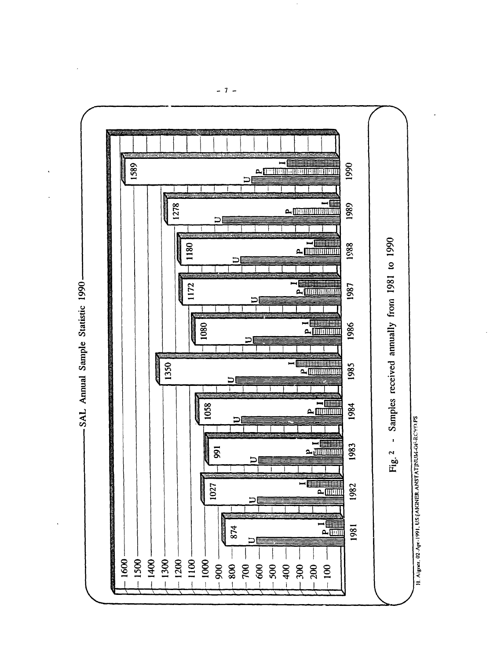

 $-7-$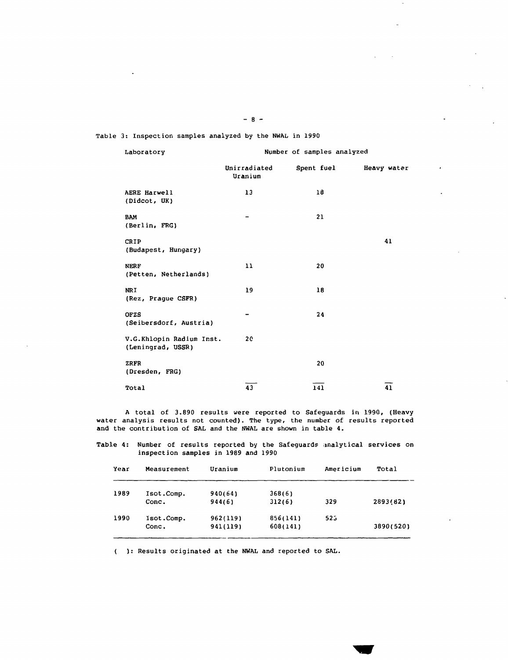Table 3: Inspection samples analyzed by the NWAL in 1990

| Laboratory                                    |                         | Number of samples analyzed |             |
|-----------------------------------------------|-------------------------|----------------------------|-------------|
|                                               | Unirradiated<br>Uranium | Spent fuel                 | Heavy water |
| AERE Harwell<br>(Didcot, UK)                  | 13                      | 18                         |             |
| <b>BAM</b><br>(Berlin, FRG)                   | -                       | 21                         |             |
| CRIP<br>(Budapest, Hungary)                   |                         |                            | 41          |
| <b>NERF</b><br>(Petten, Netherlands)          | 11                      | 20                         |             |
| <b>NRI</b><br>(Rez, Prague CSFR)              | 19                      | 18                         |             |
| OFZS<br>(Seibersdorf, Austria)                | ۰.                      | 24                         |             |
| V.G.Khlopin Radium Inst.<br>(Leningrad, USSR) | 20                      |                            |             |
| ZRFR<br>(Dresden, FRG)                        |                         | 20                         |             |
| Total                                         | 43                      | 141                        | 41          |

A total of 3.890 results were reported to Safeguards in 1990, (Heavy water analysis results not counted). The type, the number of results reported and the contribution of SAL and the NWAL are shown in table 4.

Table 4: Number of results reported by the Safeguards analytical services on inspection samples in 1989 and 1990

| Year | Measurement | Uranium  | Plutonium | Americium       | Total     |
|------|-------------|----------|-----------|-----------------|-----------|
| 1989 | Isot.Comp.  | 940(64)  | 368(6)    |                 |           |
|      | Conc.       | 944(6)   | 312(6)    | 329             | 2893(82)  |
| 1990 | Isot.Comp.  | 962(119) | 856(141)  | 52 <sub>5</sub> |           |
|      | Conc.       | 941(119) | 608(141)  |                 | 3890(520) |

( ): Results originated at the NWAL and reported to SAL.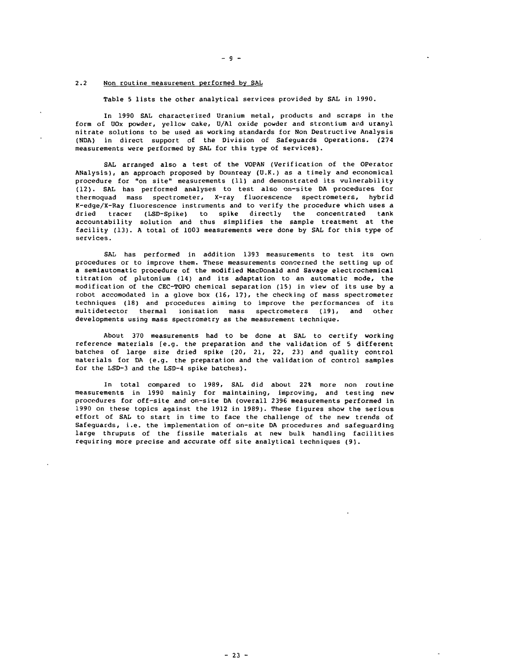### 2.2 Non routine measurement performed by SAL

Table 5 lists the other analytical services provided by SAL in 1990.

In 1990 SAL characterized Uranium metal, products and scraps in the form of UOx powder, yellow cake, U/A1 oxide powder and strontium and uranyl nitrate solutions to be used as working standards for Non Destructive Analysis (NDA) in direct support of the Division of Safeguards Operations. (274 measurements were performed by SAL for this type of services).

SAL arranged also a test of the VOPAN (Verification of the Operator ANalysis), an approach proposed by Dounreay (U.K.) as a timely and economical procedure for "on site" measurements (11) and demonstrated its vulnerability (12). SAL has performed analyses to test also on-site DA procedures for thermoquad mass spectrometer, X-ray fluorescence spectrometers, hybrid K-edge/X-Ray fluorescence instruments and to verify the procedure which uses a dried tracer (LSD-Spike) to spike directly the concentrated tank accountability solution and thus simplifies the sample treatment at the facility (13). A total of 1003 measurements were done by SAL for this type of services.

SAL has performed in addition 1393 measurements to test its own procedures or to improve them. These measurements concerned the setting up of a semiautomatic procedure of the modified MacDonald and Savage electrochemical titration of plutonium (14) and its adaptation to an automatic mode, the modification of the CEC-TOPO chemical separation (15) in view of its use by a robot accomodated in a glove box (16, 17), the checking of mass spectrometer techniques (18) and procedures aiming to improve the performances of its multidetector thermal ionisation mass spectrometers (19), and other developments using mass spectrometry as the measurement technique.

About 370 measurements had to be done at SAL to certify working reference materials [e.g. the preparation and the validation of 5 different batches of large size dried spike (20, 21, 22, 23) and quality control materials for DA (e.g. the preparation and the validation of control samples for the LSD-3 and the LSD-4 spike batches).

In total compared to 1989, SAL did about 22% more non routine measurements in 1990 mainly for maintaining, improving, and testing new procedures for off-site and on-site DA (overall 2396 measurements performed in 1990 on these topics against the 1912 in 1989). These figures show the serious effort of SAL to start in time to face the challenge of the new trends of Safeguards, i.e. the implementation of on-site DA procedures and safeguarding large thruputs of the fissile materials at new bulk handling facilities requiring more precise and accurate off site analytical techniques (9).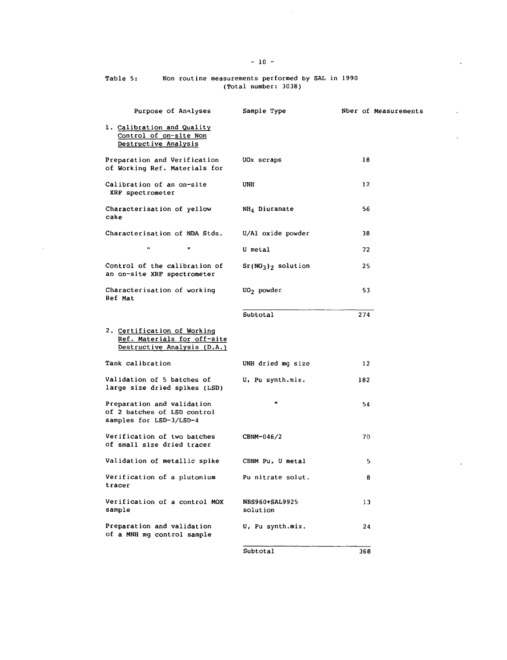# Table 5: Kon routine measurements performed by SAL in 1990 (Total number: 3038)

 $\sim$ 

| Purpose of Analyses                                                                       | Sample Type                       | Nber of Measurements |
|-------------------------------------------------------------------------------------------|-----------------------------------|----------------------|
| 1. Calibration and Quality<br>Control of on-site Non<br>Destructive Analysis              |                                   |                      |
| Preparation and Verification<br>of Working Ref. Materials for                             | UOx scraps                        | 18                   |
| Calibration of an on-site<br>XRF spectrometer                                             | UNH                               | 12                   |
| Characterisation of yellow<br>cake                                                        | NH <sub>4</sub> Diuranate         | 56                   |
| Characterisation of NDA Stds.                                                             | U/Al oxide powder                 | 38                   |
| $\bullet$<br>$\bullet$                                                                    | U metal                           | 72                   |
| Control of the calibration of<br>an on-site XRF spectrometer                              | $Sr(NO3)2$ solution               | 25                   |
| Characterisation of working<br>Ref Mat                                                    | UO <sub>2</sub> powder            | 53                   |
|                                                                                           | Subtotal                          | 274                  |
| 2. Certification of Working<br>Ref. Materials for off-site<br>Destructive Analysis (D.A.) |                                   |                      |
| Tank calibration                                                                          | UNH dried mg size                 | $12^{\circ}$         |
| Validation of 5 batches of<br>large size dried spikes (LSD)                               | U, Pu synth.mix.                  | 182                  |
| Preparation and validation<br>of 2 batches of LSD control<br>samples for LSD-3/LSD-4      | ŧ.                                | 54                   |
| Verification of two batches<br>of small size dried tracer                                 | CBNM-046/2                        | 70                   |
| Validation of metallic spike                                                              | CBNM Pu, U metal                  | 5.                   |
| Verification of a plutonium<br>tracer                                                     | Pu nitrate solut.                 | 8                    |
| Verification of a control MOX<br>sample                                                   | <b>NBS960+SAL9925</b><br>solution | 13                   |
| Preparation and validation<br>of a MNH mg control sample                                  | U, Pu synth.mix.                  | 24                   |
|                                                                                           | Subtotal                          | 368                  |

 $\sim$ 

 $\overline{a}$ 

ä,

 $\mathbf{r}$ 

 $\overline{\phantom{a}}$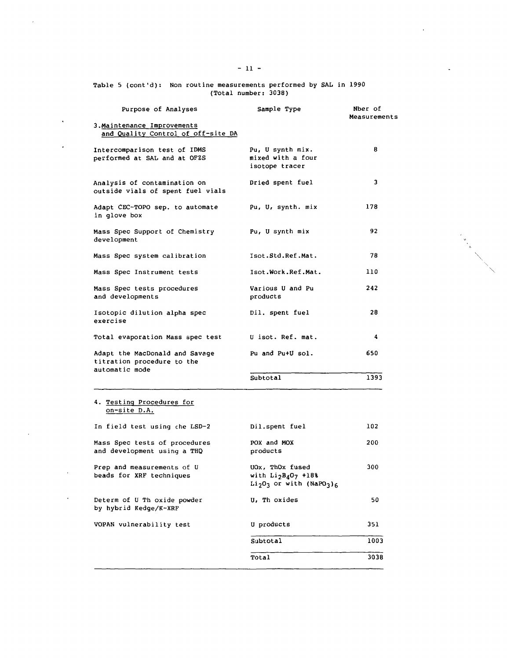| Table 5 (cont'd): Non routine measurements performed by SAL in 1990 |
|---------------------------------------------------------------------|
| (Total number: 3038)                                                |

 $\label{eq:2.1} \frac{1}{\sqrt{2}}\sum_{i=1}^n\frac{1}{\sqrt{2}}\sum_{i=1}^n\frac{1}{\sqrt{2}}\sum_{i=1}^n\frac{1}{\sqrt{2}}\sum_{i=1}^n\frac{1}{\sqrt{2}}\sum_{i=1}^n\frac{1}{\sqrt{2}}\sum_{i=1}^n\frac{1}{\sqrt{2}}\sum_{i=1}^n\frac{1}{\sqrt{2}}\sum_{i=1}^n\frac{1}{\sqrt{2}}\sum_{i=1}^n\frac{1}{\sqrt{2}}\sum_{i=1}^n\frac{1}{\sqrt{2}}\sum_{i=1}^n\frac$ 

 $\label{eq:2} \frac{1}{\sqrt{2}}\sum_{i=1}^n\frac{1}{\sqrt{2}}\sum_{i=1}^n\frac{1}{\sqrt{2}}\sum_{i=1}^n\frac{1}{\sqrt{2}}\sum_{i=1}^n\frac{1}{\sqrt{2}}\sum_{i=1}^n\frac{1}{\sqrt{2}}\sum_{i=1}^n\frac{1}{\sqrt{2}}\sum_{i=1}^n\frac{1}{\sqrt{2}}\sum_{i=1}^n\frac{1}{\sqrt{2}}\sum_{i=1}^n\frac{1}{\sqrt{2}}\sum_{i=1}^n\frac{1}{\sqrt{2}}\sum_{i=1}^n\frac{1$ 

|           | Purpose of Analyses                                                            | Sample Type                                                                                    | Nber of<br>Measurements |
|-----------|--------------------------------------------------------------------------------|------------------------------------------------------------------------------------------------|-------------------------|
| $\bullet$ | 3. Maintenance Improvements<br>and Quality Control of off-site DA              |                                                                                                |                         |
|           | Intercomparison test of IDMS<br>performed at SAL and at OFZS                   | Pu, U synth mix.<br>mixed with a four<br>isotope tracer                                        | 8                       |
|           | Analysis of contamination on<br>outside vials of spent fuel vials              | Dried spent fuel                                                                               | 3                       |
|           | Adapt CEC-TOPO sep. to automate<br>in glove box                                | Pu, U, synth. mix                                                                              | 178                     |
|           | Mass Spec Support of Chemistry<br>development                                  | Pu, U synth mix                                                                                | 92                      |
|           | Mass Spec system calibration                                                   | Isot.Std.Ref.Mat.                                                                              | 78                      |
|           | Mass Spec Instrument tests                                                     | Isot.Work.Ref.Mat.                                                                             | 110                     |
|           | Mass Spec tests procedures<br>and developments                                 | Various U and Pu<br>products                                                                   | 242                     |
|           | Isotopic dilution alpha spec<br>exercise                                       | Dil. spent fuel                                                                                | 28                      |
|           | Total evaporation Mass spec test U isot. Ref. mat.                             |                                                                                                | 4                       |
|           | Adapt the MacDonald and Savage<br>titration procedure to the<br>automatic mode | Pu and Pu+U sol.                                                                               | 650                     |
|           |                                                                                | Subtotal                                                                                       | 1393                    |
|           | 4. Testing Procedures for<br>on-site D.A.                                      |                                                                                                |                         |
|           | In field test using che LSD-2                                                  | Dil.spent fuel                                                                                 | 102                     |
|           | Mass Spec tests of procedures<br>and development using a THQ                   | POX and MOX<br>products                                                                        | 200                     |
|           | Prep and measurements of U<br>beads for XRF techniques                         | UOx, ThOx fused<br>with $Li_2B_4O_7$ +18%<br>$Li2O3$ or with (NaPO <sub>3</sub> ) <sub>6</sub> | 300                     |
|           | Determ of U Th oxide powder<br>by hybrid Kedge/K-XRF                           | U, Th oxides                                                                                   | 50                      |
|           | VOPAN vulnerability test                                                       | U products                                                                                     | 351                     |
|           |                                                                                | Subtotal                                                                                       | 1003                    |
|           |                                                                                | Total                                                                                          | 3038                    |
|           |                                                                                |                                                                                                |                         |

 $\mathcal{L}(\mathcal{L}^{\mathcal{L}})$  and  $\mathcal{L}(\mathcal{L}^{\mathcal{L}})$  . The contribution of

 $\mathcal{L}(\mathcal{L}(\mathcal{L}))$  . The set of  $\mathcal{L}(\mathcal{L})$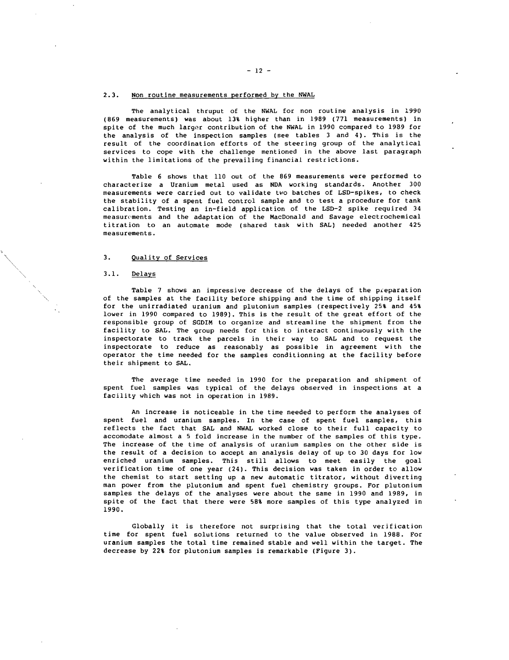#### 2.3. Non routine measurements performed by the NWAL

The analytical thruput of the NWAL for non routine analysis in 1990 (869 measurements) was about 13% higher than in 1989 (771 measurements) in spite of the much largor contribution of the NWAL in 1990 compared to 1989 for the analysis of the inspection samples (see tables 3 and 4). This is the result of the coordination efforts of the steering group of the analytical services to cope with the challenge mentioned in the above last paragraph within the limitations of the prevailing financial restrictions.

Table 6 shows that 110 out of the 869 measurements were performed to characterize a Uranium metal used as NDA working standards. Another 300 measurements were carried out to validate two batches of LSD-spikes, to check the stability of a spent fuel control sample and to test a procedure for tank calibration. Testing an in-field application of the LSD-2 spike required 34 measurements and the adaptation of the MacDonald and Savage electrochemical titration to an automate mode (shared task with SAL) needed another 425 measurements.

## 3. Quality of Services

## 3.1. Delays

Table 7 shows an impressive decrease of the delays of the preparation of the samples at the facility before shipping and the time of shipping itself for the unirradiated uranium and plutonium samples (respectively 25% and 45% lower in 1990 compared to 1989). This is the result of the great effort of the responsible group of SGDIM to organize and streamline the shipment from the facility to SAL. The group needs for this to interact continuously with the inspectorate to track the parcels in their way to SAL and to request the inspectorate to reduce as reasonably as possible in agreement with the operator the time needed for the samples conditionning at the facility before their shipment to SAL.

The average time needed in 1990 for the preparation and shipment of spent fuel samples was typical of the delays observed in inspections at a facility which was not in operation in 1989.

An increase is noticeable in the time needed to perform the analyses of spent fuel and uranium samples. In the case of spent fuel samples, this reflects the fact that SAL and NWAL worked close to their full capacity to accomodate almost a 5 fold increase in the number of the samples of this type. The increase of the time of analysis of uranium samples on the other side is the result of a decision to accept an analysis delay of up to 30 days for low enriched uranium samples. This still allows to meet easily the goal verification time of one year (24). This decision was taken in order to allow the chemist to start setting up a new automatic titrator, without diverting man power from the plutonium and spent fuel chemistry groups. For plutonium samples the delays of the analyses were about the same in 1990 and 1989, in spite of the fact that there were 58% more samples of this type analyzed in 1990.

Globally it is therefore not surprising that the total verification time for spent fuel solutions returned to the value observed in 1988. For uranium samples the total time remained stable and well within the target. The decrease by 22% for plutonium samples is remarkable (Figure 3) .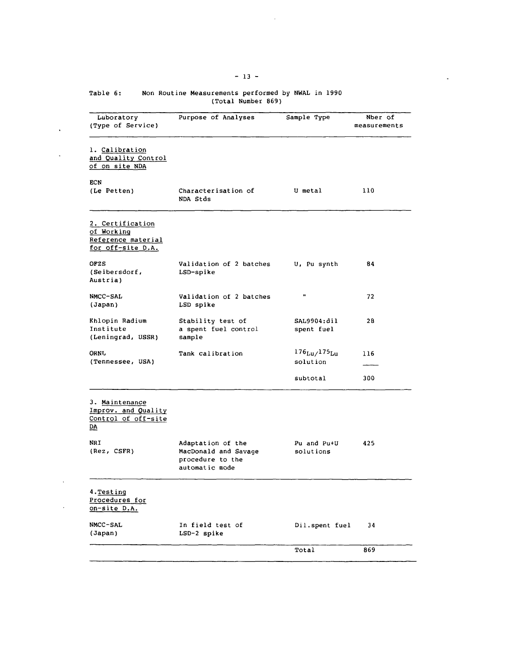| Table 6: |  | Non Routine Measurements performed by NWAL in 1990 |                    |  |  |
|----------|--|----------------------------------------------------|--------------------|--|--|
|          |  |                                                    | (Total Number 869) |  |  |

| Laboratory<br>(Type of Service)                                                           | Purpose of Analyses                                                             | Sample Type                                   | Nber of<br>measurements |
|-------------------------------------------------------------------------------------------|---------------------------------------------------------------------------------|-----------------------------------------------|-------------------------|
| 1. Calibration<br>and Quality Control<br>of on site NDA                                   |                                                                                 |                                               |                         |
| <b>ECN</b><br>(Le Petten)                                                                 | Characterisation of<br>NDA Stds                                                 | U metal                                       | 110                     |
| 2. Certification<br>of Working<br>Reference material<br>for off-site D.A.                 |                                                                                 |                                               |                         |
| <b>OFZS</b><br>(Seibersdorf,<br>Austria)                                                  | Validation of 2 batches<br>LSD-spike                                            | U, Pu synth                                   | 84                      |
| NMCC-SAL<br>(Japan)                                                                       | Validation of 2 batches<br>LSD spike                                            | $\pmb{\mathfrak{u}}$                          | 72                      |
| Khlopin Radium<br>Institute<br>(Leningrad, USSR)                                          | Stability test of<br>a spent fuel control<br>sample                             | SAL9904:dil<br>spent fuel                     | 28                      |
| <b>ORNU</b><br>(Tennessee, USA)                                                           | Tank calibration                                                                | $176_{\text{Lu}}/175_{\text{Lu}}$<br>solution | 116                     |
|                                                                                           |                                                                                 | subtotal                                      | 300                     |
| 3. Maintenance<br>Improv. and Quality<br>Control of off-site<br>$\underline{\mathbf{DA}}$ |                                                                                 |                                               |                         |
| NRI<br>(Rez, CSFR)                                                                        | Adaptation of the<br>MacDonald and Savage<br>procedure to the<br>automatic mode | Pu and Pu+U<br>solutions                      | 425                     |
| 4. Testing<br>Procedures for<br>on-site D.A.                                              |                                                                                 |                                               |                         |
| NMCC-SAL<br>(Japan)                                                                       | In field test of<br>LSD-2 spike                                                 | Dil.spent fuel                                | 34                      |
|                                                                                           |                                                                                 | Total                                         | 869                     |

 $\mathcal{L}^{\text{max}}_{\text{max}}$ 

 $\sim 100$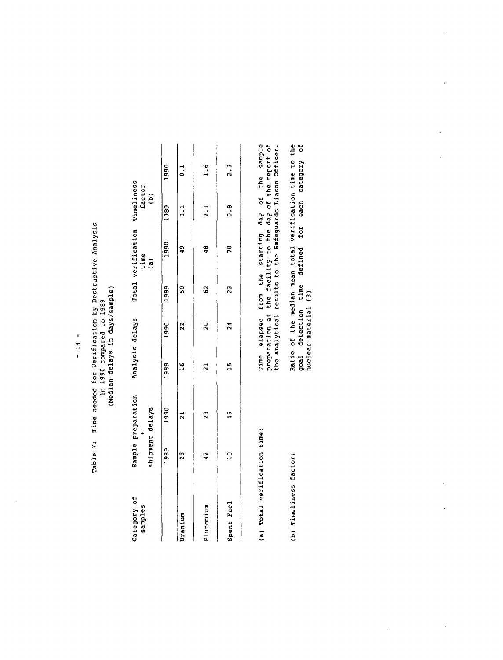| Time needed for Verification by Destructive Analys | ,1989<br>in 1990 compared to | days/sampl<br>(Median delays in |
|----------------------------------------------------|------------------------------|---------------------------------|
| Table 7:                                           |                              |                                 |

| Category of<br>samples       | shipment delays | Sample preparation | Analysis delays |                 |     | Total verification Timeliness<br>time<br>$\overline{a}$                                                     | factor<br>$\hat{e}$ |                 |
|------------------------------|-----------------|--------------------|-----------------|-----------------|-----|-------------------------------------------------------------------------------------------------------------|---------------------|-----------------|
|                              | 1989            | 1990               | 1989            | 5861 0661       |     | 1990                                                                                                        | 1989                | 1990            |
| Uranium                      | 28              | ្ដ                 | $\frac{6}{1}$   | 22              | ន្ល | $\frac{9}{4}$                                                                                               | $\frac{1}{2}$       | $\frac{1}{2}$   |
| Plutonium                    | 42              | 23                 | 21              | 20              | C)  | 48                                                                                                          | 2.1                 | 1.6             |
| Spent Fuel                   | $\frac{1}{2}$   | 45                 | n<br>H          | $\overline{24}$ | 2   | 20                                                                                                          | ∞.<br>∽             | $\frac{1}{2}$ . |
| (a) Total verification time: |                 |                    |                 |                 |     | Time elapsed from the starting day of the sample<br>preparation at the facility to the day of the report of |                     |                 |

| Time elapsed from the starting day of the sample | preparation at the facility to the day of the report of | the analytical results to the Safeguards Liason Officer. | Ratio of the median mean total verification time to the |
|--------------------------------------------------|---------------------------------------------------------|----------------------------------------------------------|---------------------------------------------------------|
|                                                  |                                                         |                                                          |                                                         |
| (a) Total verification time:                     |                                                         |                                                          | (b) Timeliness factor:                                  |

Ratio of the median mean total verification time to the<br>goal detection time defined for each category of<br>nuclear material (3)

ý,

 $\ddot{\phantom{0}}$ 

 $\cdot$ 

 $\ddot{\phantom{0}}$ 

 $\frac{1}{2}$ 

 $\ddot{\phantom{0}}$ 

 $\bar{\beta}$ 

 $\mathcal{L}$ 

 $\overline{\phantom{a}}$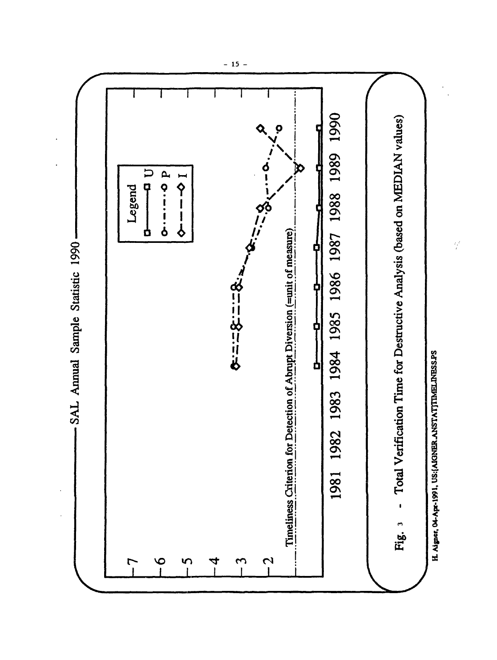

 $-15 -$ 

 $\frac{1}{2}$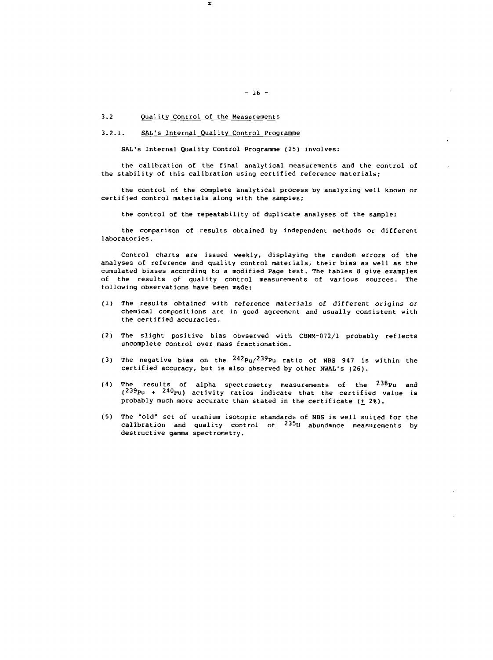# 3.2 Quality Control of the Measurements

### 3.2.1. SAL's Internal Quality Control Programme

Σ

SAL'S Internal Quality Control Programme (25) involves:

the calibration of the final analytical measurements and the control of the stability of this calibration using certified reference materials;

the control of the complete analytical process by analyzing well known or certified control materials along with the samples;

the control of the repeatability of duplicate analyses of the sample;

the comparison of results obtained by independent methods or different laboratories.

Control charts are issued weekly, displaying the random errors of the analyses of reference and quality control materials, their bias as well as the cumulated biases according to a modified Page test. The tables 8 give examples of the results of quality control measurements of various sources. The following observations have been made:

- (1) The results obtained with reference materials of different origins or chemical compositions are in good agreement and usually consistent with the certified accuracies.
- (2) The slight positive bias obvserved with CBNM-072/1 probably reflects uncomplete control over mass fractionation.
- (3) The negative bias on the  $^{242}$ Pu/ $^{239}$ Pu ratio of NBS 947 is within the certified accuracy, but is also observed by other NWAL's (26).
- (4) The results of alpha spectrometry measurements of the  $^{238}$ Pu and  $(239$ Pu +  $240$ Pu) activity ratios indicate that the certified value is probably much more accurate than stated in the certificate  $(+ 23)$ .
- (5) The "old" set of uranium isotopic standards of NBS is well suited for the calibration and quality control of <sup>235</sup>U abundance measurements by destructive gamma spectrometry.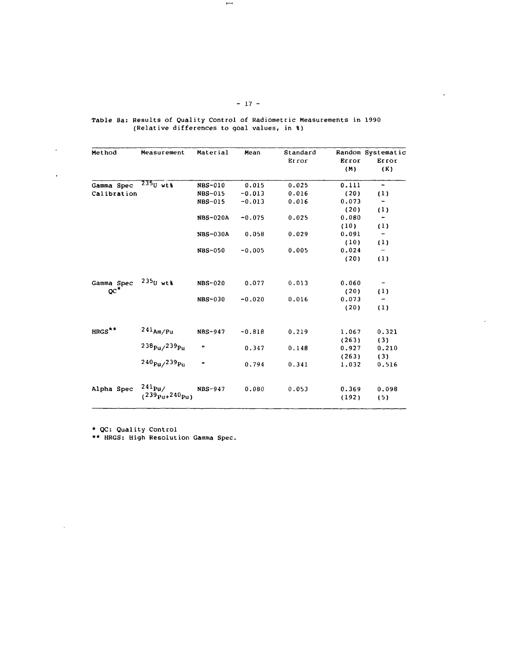| Method             | Measurement                                | Material             | Mean     | Standard<br>Error | Error<br>(M)   | Random Systematic<br>Error<br>(K) |
|--------------------|--------------------------------------------|----------------------|----------|-------------------|----------------|-----------------------------------|
| Gamma Spec         | $235$ U wtt                                | <b>NBS-010</b>       | 0.015    | 0.025             | 0.111          | $\overline{\phantom{a}}$          |
| Calibration        |                                            | NBS-015              | $-0.013$ | 0.016             | (20)           | (1)                               |
|                    |                                            | NBS-015              | $-0.013$ | 0.016             | 0.073          |                                   |
|                    |                                            |                      |          |                   | (20)           | (1)                               |
|                    |                                            | <b>NBS-020A</b>      | $-0.075$ | 0.025             | 0.080          | -                                 |
|                    |                                            |                      |          |                   | (10)           | (1)                               |
|                    |                                            | NBS-030A             | 0.058    | 0.029             | 0.091          | $\qquad \qquad \bullet$           |
|                    |                                            |                      |          |                   | (10)           | (1)                               |
|                    |                                            | <b>NBS-050</b>       | $-0.005$ | 0.005             | 0.024          |                                   |
|                    |                                            |                      |          |                   | (20)           | (1)                               |
| Gamma Spec         | $235$ U wtt                                | <b>NBS-020</b>       | 0.077    | 0.013             | 0.060          | $\overline{\phantom{a}}$          |
| $\alpha^*$         |                                            |                      |          |                   | (20)           | (1)                               |
|                    |                                            | <b>NBS-030</b>       | $-0.020$ | 0.016             | 0.073          | -                                 |
|                    |                                            |                      |          |                   | (20)           | (1)                               |
| HRGS <sup>**</sup> | $241_{Am/Pu}$                              | NBS-947              | $-0.818$ | 0.219             | 1.067          | 0.321                             |
|                    |                                            |                      |          |                   | (263)          | (3)                               |
|                    | $238p_u/239p_u$                            | $\pmb{\mathfrak{u}}$ | 0.347    | 0.148             | 0.927          | 0.210                             |
|                    |                                            |                      |          |                   | (263)          | (3)                               |
|                    | 240 <sub>Pu/</sub> 239 <sub>Pu</sub>       | H                    | 0.794    | 0.341             | 1.032          | 0.516                             |
| Alpha Spec         | $241_{\text{Pu}}$<br>$(239p_{u+}240p_{u})$ | NBS-947              | 0.080    | 0.053             | 0.369<br>(192) | 0.098<br>(5)                      |

Table 8a: Results of Quality Control of Radiometric Measurements in 1990 (Relative differences to goal values, in %)

 $- 17 -$ 

 $\ddot{\phantom{a}}$ 

\* QC: Quality Control

 $\hat{\mathcal{A}}$ 

 $\mathbf{r}$ 

 $\mathcal{L}^{\mathcal{A}}$ 

\*\* HRGS: High Resolution Gamma Spec.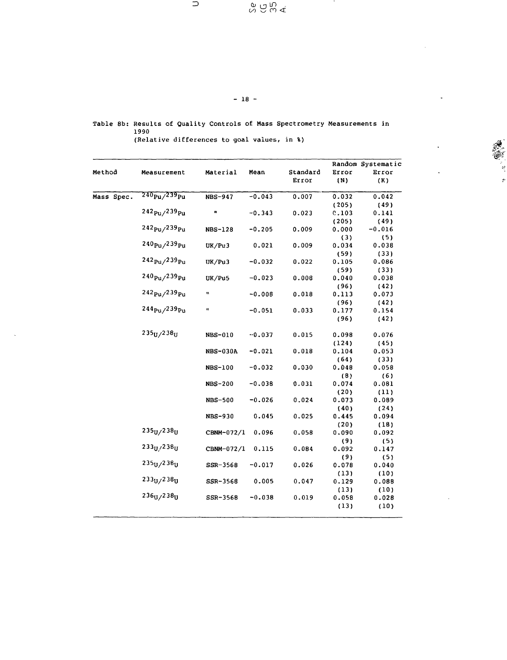$\supset$ 

 $\begin{array}{c} \infty \widehat{\mathcal{C}} \xrightarrow{\mathcal{C}} \mathcal{C} \end{array}$ 

 $\ddot{\epsilon}$ 

Table 8b: Results of Quality Controls of Mass Spectrometry Measurements in 1990

 $- 18 -$ 

(Relative differences to goal values, in %)

|            |                                      |                  |          |          |               | Random Systematic |
|------------|--------------------------------------|------------------|----------|----------|---------------|-------------------|
| Method     | Measurement                          | Material         | Mean     | Standard | Error         | Error             |
|            |                                      |                  |          | Error    | (N)           | (K)               |
| Mass Spec. | $240_{\rm PU}$ /239 $_{\rm Pu}$      | <b>NBS-947</b>   | $-0.043$ | 0.007    | 0.032         | 0.042             |
|            |                                      |                  |          |          | (205)         | (49)              |
|            | 242 <sub>Pu</sub> /239 <sub>Pu</sub> | Ħ                | $-0.343$ | 0.023    | 0.103         | 0.141             |
|            |                                      |                  |          |          | (205)         | (49)              |
|            | $242_{\rm{Pu}}$ /239 $_{\rm{Pu}}$    | <b>NBS-128</b>   | $-0.205$ | 0.009    | 0.000         | $-0.016$          |
|            |                                      |                  |          |          | (3)           | (5)               |
|            | 240 <sub>Pu</sub> /239 <sub>Pu</sub> | UK/Pu3           | 0.021    | 0.009    | 0.034         | 0.038             |
|            | $242_{Pu}/239_{Pu}$                  |                  |          |          | (59)          | (33)              |
|            |                                      | UK/Pu3           | $-0.032$ | 0.022    | 0.105         | 0.086             |
|            | $240_{\rm{Pu}}$ /239 $_{\rm{Pu}}$    |                  |          |          | (59)          | (33)              |
|            |                                      | UK/Pu5           | $-0.023$ | 0.008    | 0.040         | 0.038             |
|            | 242 <sub>Pu</sub> /239 <sub>Pu</sub> | $\pmb{\epsilon}$ | $-0.008$ | 0.018    | (96)<br>0.113 | (42)<br>0.073     |
|            |                                      |                  |          |          | (96)          | (42)              |
|            | $244_{\rm{Pu}}$ /239 $_{\rm{Pu}}$    | ŧ                | $-0.051$ | 0.033    | 0.177         | 0.154             |
|            |                                      |                  |          |          | (96)          | (42)              |
|            | $235U$ /238 $U$                      | NBS-010          | $-0.037$ | 0.015    | 0.098         | 0.076             |
|            |                                      |                  |          |          | (124)         | (45)              |
|            |                                      | <b>NBS-030A</b>  | $-0.021$ | 0.018    | 0.104         | 0.053             |
|            |                                      |                  |          |          | (64)          | (33)              |
|            |                                      | NBS-100          | $-0.032$ | 0.030    | 0.048         | 0.058             |
|            |                                      |                  |          |          | (8)           | (6)               |
|            |                                      | <b>NBS-200</b>   | $-0.038$ | 0.031    | 0.074         | 0.081             |
|            |                                      |                  |          |          | (20)          | (11)              |
|            |                                      | <b>NBS-500</b>   | $-0.026$ | 0.024    | 0.073         | 0.089             |
|            |                                      |                  |          |          | (40)          | (24)              |
|            |                                      | NBS-930          | 0.045    | 0.025    | 0.445         | 0.094             |
|            | 235 <sub>U</sub> / 238 <sub>U</sub>  |                  |          |          | (20)          | (18)              |
|            |                                      | CBNM-072/1       | 0.096    | 0.058    | 0.090         | 0.092             |
|            | $233_H/238_H$                        |                  | 0.115    | 0.084    | (9)           | (5)               |
|            |                                      | CBNM-072/1       |          |          | 0.092         | 0.147             |
|            | $235U$ /238 $U$                      | SSR-3568         | $-0.017$ | 0.026    | (9)<br>0.078  | (5)               |
|            |                                      |                  |          |          | (13)          | 0.040<br>(10)     |
|            | $233_U/238_U$                        | SSR-3568         | 0.005    | 0.047    | 0.129         | 0.088             |
|            |                                      |                  |          |          | (13)          | (10)              |
|            | $236_U/238_U$                        | $SSR-3568$       | $-0.038$ | 0.019    | 0.058         | 0.028             |
|            |                                      |                  |          |          | (13)          | (10)              |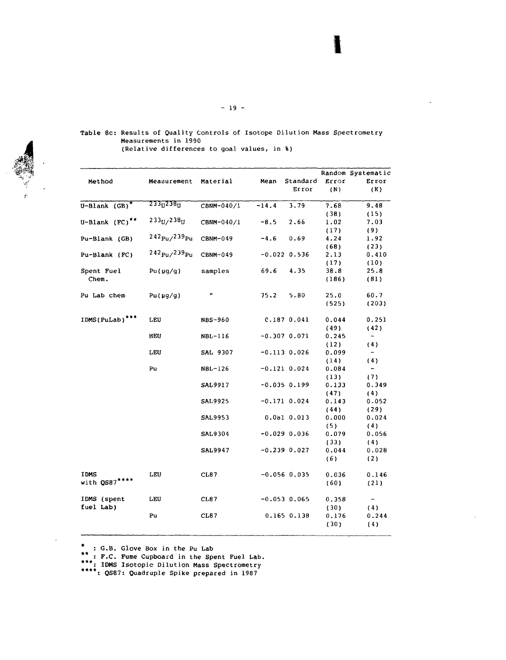|                            |                                   |                |         |                  |       | Random Systematic        |
|----------------------------|-----------------------------------|----------------|---------|------------------|-------|--------------------------|
| Method                     | Measurement                       | Material       | Mean    | Standard         | Error | Error                    |
|                            |                                   |                |         | Error            | (N)   | (K)                      |
| U-Blank $(GB)^*$           | $233_1238_1$                      | CBNM-040/1     | $-14.4$ | 3.79             | 7.68  | 9.48                     |
|                            |                                   |                |         |                  | (38)  | (15)                     |
| U-Blank $(FC)^{**}$        | $233_U/238_U$                     | CBNM-040/1     | $-8.5$  | 2.66             | 1.02  | 7,03                     |
|                            |                                   |                |         |                  | (17)  | (9)                      |
| Pu-Blank (GB)              | $242_{\rm PU}/239_{\rm Pu}$       | CBNM-049       | $-4.6$  | 0.69             | 4.24  | 1.92                     |
|                            |                                   |                |         |                  | (68)  | (23)                     |
| Pu-Blank (FC)              | $242_{\rm{Pu}}$ /239 $_{\rm{Pu}}$ | CBNM-049       |         | $-0.022$ 0.536   | 2.13  | 0.410                    |
|                            |                                   |                |         |                  | (17)  | (10)                     |
| Spent Fuel                 | Pu(µq/q)                          | samples        | 69.6    | 4.35             | 38.8  | 25.8                     |
| Chem.                      |                                   |                |         |                  | (186) | (81)                     |
| Pu Lab chem                | Pu(µq/q)                          | Ħ              | 75.2    | 5.80             | 25.0  | 60.7                     |
|                            |                                   |                |         |                  | (525) | (203)                    |
| IDMS(PuLab) <sup>***</sup> | LEU                               | <b>NBS-960</b> |         | 0.1870.041       | 0.044 | 0.251                    |
|                            |                                   |                |         |                  | (49)  | (42)                     |
|                            | HEU                               | NBL-116        |         | $-0.30700.071$   | 0.245 | $\overline{\phantom{a}}$ |
|                            |                                   |                |         |                  | (12)  | (4)                      |
|                            | LEU                               | SAL 9307       |         | $-0.113$ $0.026$ | 0.099 | $-$                      |
|                            |                                   |                |         |                  | (14)  | (4)                      |
|                            | Pu                                | NBL-126        |         | $-0.121 0.024$   | 0.084 | $ \,$                    |
|                            |                                   |                |         |                  | (13)  | (7)                      |
|                            |                                   | SAL9917        |         | $-0.0350.199$    | 0.133 | 0.349                    |
|                            |                                   |                |         |                  | (47)  | (4)                      |
|                            |                                   | <b>SAL9925</b> |         | $-0.171$ $0.024$ | 0.143 | 0.052                    |
|                            |                                   |                |         |                  | (44)  | (29)                     |
|                            |                                   | <b>SAL9953</b> |         | 0.0b1 0.013      | 0.000 | 0.024                    |
|                            |                                   |                |         |                  | (5)   | (4)                      |
|                            |                                   | <b>SAL9304</b> |         | $-0.02900.036$   | 0.079 | 0.056                    |
|                            |                                   |                |         |                  | (33)  | (4)                      |
|                            |                                   | <b>SAL9947</b> |         | $-0.239$ $0.027$ | 0.044 | 0.028                    |
|                            |                                   |                |         |                  | (6)   | (2)                      |
| IDMS                       | LEU                               | CL87           |         | $-0.056$ 0.035   | 0.036 | 0.146                    |
| with QS87****              |                                   |                |         |                  | (60)  | (21)                     |
| IDMS (spent                | LEU                               | CL87           |         | $-0.053$ 0.065   | 0.358 | $\overline{\phantom{m}}$ |
| fuel Lab)                  |                                   |                |         |                  | (30)  | (4)                      |
|                            | Pu                                | CL87           |         | 0.165 0.138      | 0.176 | 0.244                    |
|                            |                                   |                |         |                  | (30)  | (4)                      |
|                            |                                   |                |         |                  |       |                          |

Table 8c: Results of Quality Controls of Isotope Dilution Mass Spectrometry Measurements in 1990 (Relative differences to goal values, in %)

 $\star$ : G. B. Glove Box in the Pu Lab

\*sR

: F.C. Fume Cupboard in the Spent Fuel Lab.

: IDMS Isotopic Dilution Mass Spectrometry

\*\*\*\*: QS87: Quadruple Spike prepared in 1987

1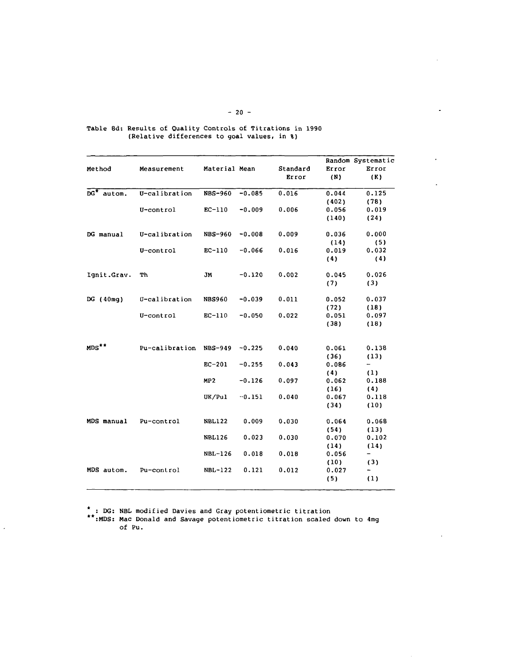| Method           | Measurement    | Material Mean  |          | Standard<br>Error | Error<br>(N) | Random Systematic<br>Error<br>(K) |
|------------------|----------------|----------------|----------|-------------------|--------------|-----------------------------------|
| $DG^*$<br>autom. | U-calibration  | <b>NBS-960</b> | $-0.085$ | 0.016             | 0.044        | 0.125                             |
|                  |                |                |          |                   | (402)        | (78)                              |
|                  | U-control      | $EC-110$       | $-0.009$ | 0.006             | 0.056        | 0.019                             |
|                  |                |                |          |                   | (140)        | (24)                              |
| DG manual        | U-calibration  | <b>NBS-960</b> | $-0.008$ | 0.009             | 0.036        | 0.000                             |
|                  |                |                |          |                   | (14)         | (5)                               |
|                  | U-control      | $EC-110$       | $-0.066$ | 0.016             | 0.019        | 0.032                             |
|                  |                |                |          |                   | (4)          | (4)                               |
| Ignit.Grav.      | Тh             | JM             | $-0.120$ | 0.002             | 0.045        | 0.026                             |
|                  |                |                |          |                   | (7)          | (3)                               |
| DG $(40mg)$      | U-calibration  | <b>NBS960</b>  | $-0.039$ | 0.011             | 0.052        | 0.037                             |
|                  |                |                |          |                   | (72)         | (18)                              |
|                  | U-control      | $EC-110$       | $-0.050$ | 0.022             | 0.051        | 0.097                             |
|                  |                |                |          |                   | (38)         | (18)                              |
| $MDS**$          | Pu-calibration | <b>NBS-949</b> | $-0.225$ | 0.040             | 0.061        | 0.138                             |
|                  |                |                |          |                   | (36)         | (13)                              |
|                  |                | $EC-201$       | $-0.255$ | 0.043             | 0.086        | -                                 |
|                  |                |                |          |                   | (4)          | (1)                               |
|                  |                | MP2            | $-0.126$ | 0.097             | 0.062        | 0.188                             |
|                  |                |                |          |                   | (16)         | (4)                               |
|                  |                | UK/Pul         | $-0.151$ | 0.040             | 0.067        | 0.118                             |
|                  |                |                |          |                   | (34)         | (10)                              |
| MDS manual       | Pu-control     | <b>NBL122</b>  | 0.009    | 0.030             | 0.064        | 0.068                             |
|                  |                |                |          |                   | (54)         | (13)                              |
|                  |                | <b>NBL126</b>  | 0.023    | 0.030             | 0.070        | 0.102                             |
|                  |                |                |          |                   | (14)         | (14)                              |
|                  |                | NBL-126        | 0.018    | 0.018             | 0.056        |                                   |
|                  |                |                |          |                   | (10)         | (3)                               |
| MDS autom.       | Pu-control     | NBL-122        | 0.121    | 0.012             | 0.027        |                                   |
|                  |                |                |          |                   | (5)          | (1)                               |

Table 8d: Results of Quality Controls of Titrations in 1990 (Relative differences to goal values, in %)

: DG: NBL modified Davies and Gray potentiometric titration

Ü,

:MDS: Mac Donald and Savage potentiometric titration scaled down to 4mg of Pu.

÷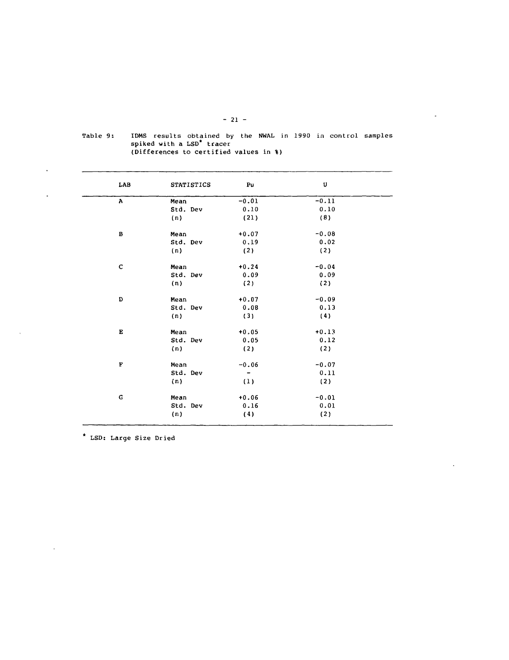| LAB                | <b>STATISTICS</b> | Pu                       | U       |
|--------------------|-------------------|--------------------------|---------|
| $\mathbf{A}$       | Mean              | $-0.01$                  | $-0.11$ |
|                    | Std. Dev          | 0.10                     | 0.10    |
|                    | (n)               | (21)                     | (8)     |
| в                  | Mean              | $+0.07$                  | $-0.08$ |
|                    | Std. Dev          | 0.19                     | 0.02    |
|                    | (n)               | (2)                      | (2)     |
| $\mathbf C$        | Mean              | $+0.24$                  | $-0.04$ |
|                    | Std. Dev          | 0.09                     | 0.09    |
|                    | (n)               | (2)                      | (2)     |
| D                  | Mean              | $+0.07$                  | $-0.09$ |
|                    | Std. Dev          | 0.08                     | 0.13    |
|                    | (n)               | (3)                      | (4)     |
| $\mathbf{E}% _{0}$ | Mean              | $+0.05$                  | $+0.13$ |
|                    | Std. Dev          | 0.05                     | 0.12    |
|                    | (n)               | (2)                      | (2)     |
| F                  | Mean              | $-0.06$                  | $-0.07$ |
|                    | Std. Dev          | $\overline{\phantom{a}}$ | 0.11    |
|                    | (n)               | (1)                      | (2)     |
| $\mathbf G$        | Mean              | $+0.06$                  | $-0.01$ |
|                    | Std. Dev          | 0.16                     | 0.01    |
|                    | (n)               | (4)                      | (2)     |

Table 9: IDMS results obtained by the NWAL in 1990 in control samples spiked with a LSD\* tracer (Differences to certified values in %)

LSD: Large Size Dried

 $\ddot{\phantom{a}}$ 

 $\overline{a}$ 

 $\overline{\phantom{a}}$ 

 $\bar{\mathcal{A}}$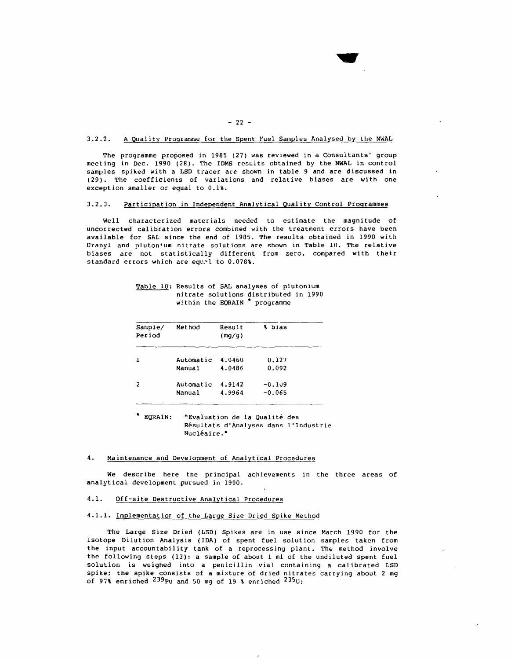#### 3.2.2. A Quality Programme for the Spent Fuel Samples Analysed by the NWAL

The programme proposed in 1985 (27) was reviewed in a Consultants' group meeting in Dec. 1990 (28). The IDMS results obtained by the NWAL in control samples spiked with a LSD tracer are shown in table 9 and are discussed in (29). The coefficients of variations and relative biases are with one exception smaller or equal to 0.1%.

# 3.2.3. Participation in Independent Analytical Quality Control Programmes

Well characterized materials needed to estimate the magnitude of uncorrected calibration errors combined with the treatment errors have been available for SAL since the end of 1985. The results obtained in 1990 with Uranyl and plutonium nitrate solutions are shown in Table 10. The relative biases are not statistically different from zero, compared with their standard errors which are equel to 0.078%.

| Sample/<br>Period | Method    | Result<br>(mg/g) | % bias   |  |
|-------------------|-----------|------------------|----------|--|
| J.                | Automatic | 4.0460           | 0.127    |  |
|                   | Manual    | 4.0486           | 0.092    |  |
| 2                 | Automatic | 4.9142           | $-0.109$ |  |
|                   | Manual    | 4.9964           | $-0.065$ |  |

### Table IQ; Results of SAL analyses of plutonium nitrate solutions distributed in 1990 within the EQRAIN \* programme

EQRAIN: "Evaluation de la Qualité des Résultats d'Analyses dans l'Industrie Nucléaire."

#### 4. Maintenance and Development of Analytical Procedures

We describe here tne principal achievements in the three areas of analytical development pursued in 1990.

### 4.1. Off-site Destructive Analytical Procedures

### 4.1.1. Implementation of the Large Size Dried Spike Method

The Large Size Dried (LSD) Spikes are in use since March 1990 for the Isotope Dilution Analysis (IDA) of spent fuel solution samples taken from the input accountability tank of a reprocessing plant. The method involve the following steps (13): a sample of about 1 ml of the undiluted spent fuel solution is weighed into a penicillin vial containing a calibrated LSD spike; the spike consists of a mixture of dried nitrates carrying about 2 mg of 97% enriched <sup>239</sup>Pu and 50 mg of 19 % enriched <sup>235</sup>U

 $- 22 -$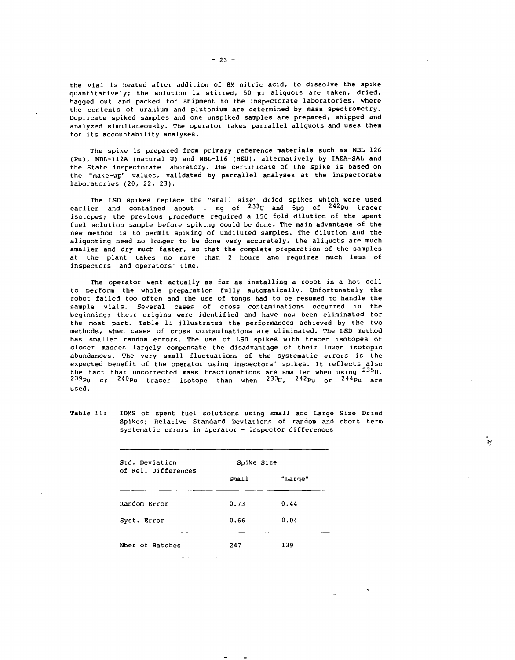the vial is heated after addition of 8M nitric acid, to dissolve the spike quantitatively; the solution is stirred, 50  $\mu$ l aliquots are taken, dried, bagged out and packed for shipment to the inspectorate laboratories, where the contents of uranium and plutonium are determined by mass spectrometry. Duplicate spiked samples and one unspiked samples are prepared, shipped and analyzed simultaneously. The operator takes parrallel aliquots and uses them for its accountability analyses.

The spike is prepared from primary reference materials such as NBL 126 (Pu), NBL-112A (natural U) and NBL-116 (HEU), alternatively by IAEA-SAL and the State inspectorate laboratory. The certificate of the spike is based on the "make-up" values, validated by parrallel analyses at the inspectorate laboratories (20, 22, 23).

The LSD spikes replace the "small size" dried spikes which were used earlier and contained about 1 mg of <sup>233</sup>U and 5µg of <sup>242</sup>Pu trace isotopes; the previous procedure required a 150 fold dilution of the spent fuel solution sample before spiking could be done. The main advantage of the new method is to permit spiking of undiluted samples. The dilution and the aliquoting need no longer to be done very accurately, the aliquots are much smaller and dry much faster, so that the complete preparation of the samples at the plant takes no more than 2 hours and requires much less of inspectors' and operators' time.

The operator went actually as far as installing a robot in a hot cell to perform the whole preparation fully automatically. Unfortunately the robot failed too often and the use of tongs had to be resumed to handle the sample vials. Several cases of cross contaminations occurred in the beginning; their origins were identified and have now been eliminated for the most part. Table 11 illustrates the performances achieved by the two methods, when cases of cross contaminations are eliminated. The LSD method has smaller random errors. The use of LSD spikes with tracer isotopes of closer masses largely compensate the disadvantage of their lower isotopic abundances. The very small fluctuations of the systematic errors is the expected benefit of the operator using inspectors' spikes. It reflects also the fact that uncorrected mass fractionations are smaller when using  $^{235}$ U,  $^{239}$ Pu  $^{240}$ Pu tracer isotope than when  $^{233}$ U,  $^{242}$ Pu or  $^{244}$ Pu are used.

Table 11: IDMS of spent fuel solutions using small and Large Size Dried Spikes; Relative Standard Deviations of random and short term systematic errors in operator - inspector differences

÷.

| Std. Deviation      | Spike Size |         |
|---------------------|------------|---------|
| of Rel. Differences | Small      | "Large" |
| Random Error        | 0.73       | 0.44    |
| Syst. Error         | 0.66       | 0.04    |
| Nber of Batches     | 247        | 139     |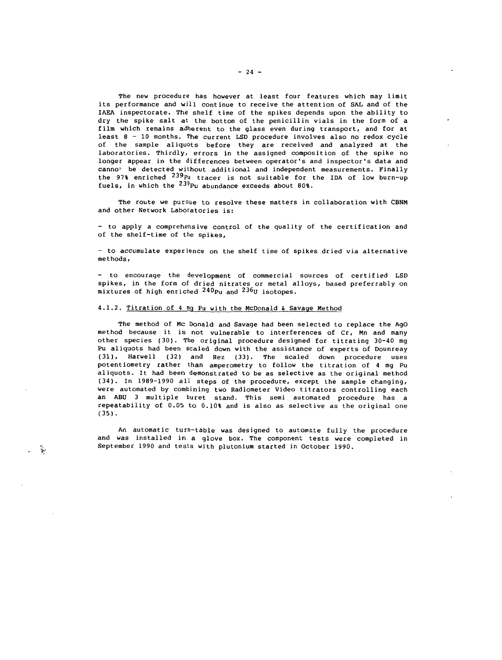The new procedure has however at least four features which may limit its performance and will continue to receive the attention of SAL and of the IAEA inspectorate. The shelf time of the spikes depends upon the ability to dry the spike salt at the bottom of the penicillin vials in the form of a film which remains adherent to the glass even during transport, and for at least 8 - 10 months. The current LSD procedure involves also no redox cycle of the sample aliquots before they are received and analyzed at the laboratories. Thirdly, errors in the assigned composition of the spike no longer appear in the differences between operator's and inspector's data and canno<sup>t</sup> be detected without additional and independent measurements. Finally the 97% enriched <sup>239</sup>Pu tracer is not suitable for the IDA of low burn-up fuels, in which the  $23^9$ Pu abundance exceeds about 80%.

The route we pursue to resolve these matters in collaboration with CBNM and other Network Laboratories is:

- to apply a comprehensive control of the quality of the certification and of the shelf-time of the spikes,

- to accumulate experience on the shelf time of spikes dried via alternative methods,

- to encourage the development of commercial sources of certified LSD spikes, in the form of dried nitrates or metal alloys, based preferrably on mixtures of high enriched  $^{240}$ Pu and  $^{236}$ U isotopes.

#### 4.1.2. Titration of 4 mq Pu with the McDonald & Savage Method

 $\frac{d^2\mathbf{r}}{d\mathbf{y}^2}$ 

The method of Mc Donald and Savage had been selected to replace the AgO method because it is not vulnerable to interferences of Cr, Mn and many other species (30). The original procedure designed for titrating 30-40 mg Pu aliquots had been scaled down with the assistance of experts of Dounreay (31), Harwell (32) and Rez (33). The scaled down procedure uses potentiometry rather than amperometry to follow the titration of 4 mg Pu aliquots. It had been demonstrated to be as selective as the original method (34). In 1989-1990 all steps of the procedure, except the sample changing, were automated by combining two Radiometer Video titrators controlling each an ABU 3 multiple buret stand. This semi automated procedure has a repeatability of 0.05 to 0.10% and is also as selective as the original one (35).

An automatic turn-table was designed to automate fully the procedure and was installed in a glove box. The component tests were completed in September 1990 and tests with plutonium started in October 1990.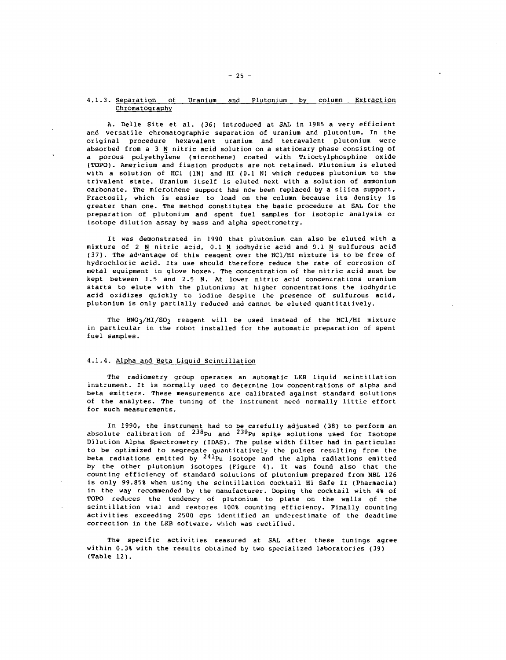# 4.1.3. Separation of Uranium and Plutonium by column Extraction Chromatography

A. Delle Site et al. (36) introduced at SAL in 1985 a very efficient and versatile chromatographic separation of uranium and plutonium. In the original procedure hexavalent uranium and tetravalent plutonium were absorbed from a 3  $N$  nitric acid solution on a stationary phase consisting of a porous polyethylene (microthene) coated with Trioctylphosphine oxide (TOPO). Americium and fission products are not retained. Plutonium is eluted with a solution of HCl (IN) and HI (0.1 N) which reduces plutonium to the trivalent state. Uranium itself is eluted next with a solution of ammonium carbonate. The microthene support has now been replaced by a silica support, Fractosil, which is easier to load on the column because its density is greater than one. The method constitutes the basic procedure at SAL for the preparation of plutonium and spent fuel samples for isotopic analysis or isotope dilution assay by mass and alpha spectrometry.

It was demonstrated in 1990 that plutonium can also be eluted with a mixture of 2 N nitric acid, 0.1 N iodhydric acid and 0.1 N sulfurous acid (37). The advantage of this reagent over the HC1/HI mixture is to be free of hydrochloric acid. Its use should therefore reduce the rate of corrosion of metal equipment in glove boxes. The concentration of the nitric acid must be kept between 1.5 and 2.5 N. At lower nitric acid concentrations uranium starts to elute with the plutonium; at higher concentrations the iodhydric acid oxidizes quickly to iodine despite the presence of sulfurous acid, plutonium is only partially reduced and cannot be eluted quantitatively.

The  $HNO<sub>3</sub>/HI/SO<sub>2</sub>$  reagent will be used instead of the HCl/HI mixture in particular in the robot installed for the automatic preparation of spent fuel samples.

#### 4.1.4. Alpha and Beta Liquid Scintillation

The radiometry group operates an automatic LKB liquid scintillation instrument. It is normally used to determine low concentrations of alpha and beta emitters. These measurements are calibrated against standard solutions of the analytes. The tuning of the instrument need normally little effort for such measurements.

In 1990, the instrument had to be carefully adjusted (38) to perform an absolute calibration of <sup>238</sup>Pu and <sup>239</sup>Pu spike solutions used for Isotope Dilution Alpha Spectrometry (IDAS). The pulse width filter had in particular to be optimized to segregate quantitatively the pulses resulting from the beta radiations emitted by  $^{241}$ Pu isotope and the alpha radiations emitted by the other plutonium isotopes (Figure 4). It was found also that the counting efficiency of standard solutions of plutonium prepared from NBL 126 is only 99.85% when using the scintillation cocktail Hi Safe II (Pharmacia) in the way recommended by the manufacturer. Doping the cocktail with 4% of TOPO reduces the tendency of plutonium to plate on the walls of the scintillation vial and restores 100% counting efficiency. Finally counting activities exceeding 2500 cps identified an underestimate of the deadtime correction in the LKB software, which was rectified.

The specific activities measured at SAL after these tunings agree within 0.3% with the results obtained by two specialized laboratories (39) (Table 12).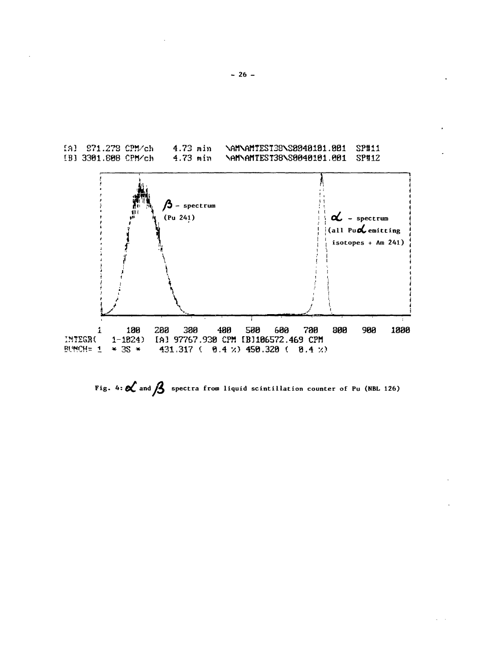

Fig. 4:  $\alpha$  and  $\beta$  spectra from liquid scintillation counter of Pu (NBL 126)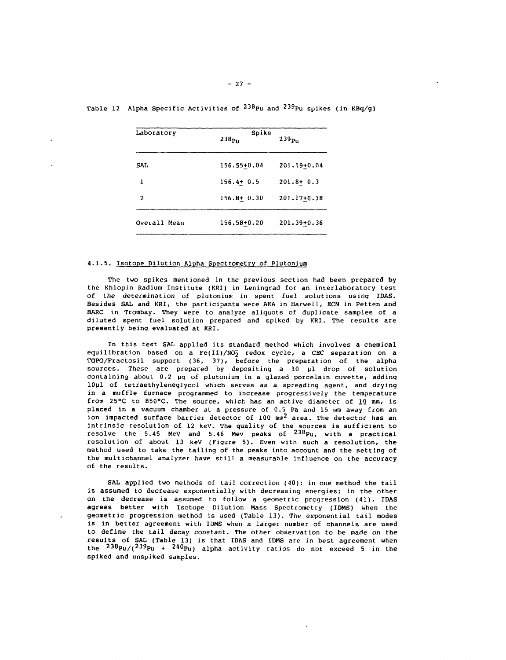| Laboratory     | Spike<br>$238p_{\rm H}$ | 239 <sub>Pu</sub> |
|----------------|-------------------------|-------------------|
| SAL            | 156.55+0.04             | 201.19+0.04       |
| ı              | $156.4 + 0.5$           | $201.8 + 0.3$     |
| $\overline{2}$ | $156.8 + 0.30$          | 201.17+0.38       |
| Overall Mean   | 156.58+0.20             | $201.39 \pm 0.36$ |

Table 12 Alpha Specific Activities of  $^{238}$ Pu and  $^{239}$ Pu spikes (in KBq/g)

# 4.1.5. Isotope Dilution Alpha Spectrometry of Plutonium

The two spikes mentioned in the previous section had been prepared by the Khlopin Radium Institute (KRI) in Leningrad for an interlaboratory test of the determination of plutonium in spent fuel solutions using IDAS. Besides SAL and KRI, the participants were AEA in Harwell, ECN in Petten and BARC in Trombay. They were to analyze aliquots of duplicate samples of a diluted spent fuel solution prepared and spiked by KRI. The results are presently being evaluated at KRI.

In this test SAL applied its standard method which involves a chemical equilibration based on a Fe(II)/NO<sub>2</sub> redox cycle, a CEC separation on a TOPO/Fractosil support (36, 37), before the preparation of the alpha sources. These are prepared by depositing a 10 ul drop of solution containing about 0.2 µg of plutonium in a glazed porcelain cuvette, adding 1OuI of tetraethyleneglycol which serves as a spreading agent, and drying in a muffle furnace programmed to increase progressively the temperature from 25°C to 850°C. The source, which has an active diameter of  $10$  mm, is placed in a vacuum chamber at a pressure of 0.5 Pa and 15 mm away from an ion impacted surface barrier detector of 100 mm<sup>2</sup> area. The detector has an intrinsic resolution of 12 keV. The quality of the sources is sufficient to resolve the 5.45 MeV and 5.46 Mev peaks of  $^{238}$ Pu, with a practical resolution of about 13 keV (Figure 5). Even with such a resolution, the method used to take the tailing of the peaks into account and the setting of the multichannel analyzer have still a measurable influence on the accuracy of the results.

SAL applied two methods of tail correction (40): in one method the tail is assumed to decrease exponentially with decreasing energies; in the other on the decrease is assumed to follow a geometric progression (41). IDAS agrees better with Isotope Dilution Mass Spectrometry (IDMS) when the geometric progression method is used (Table 13). The exponential tail modes is in better agreement with IDMS when a larger number of channels are used to define the tail decay constant. The other observation to be made on the results of SAL (Table 13) is that IDAS and IDMS are in best agreement when the <sup>238</sup>Pu/(<sup>239</sup>Pu + <sup>240</sup>Pu) alpha activity ratios do not exceed 5 in the spiked and unspiked samples.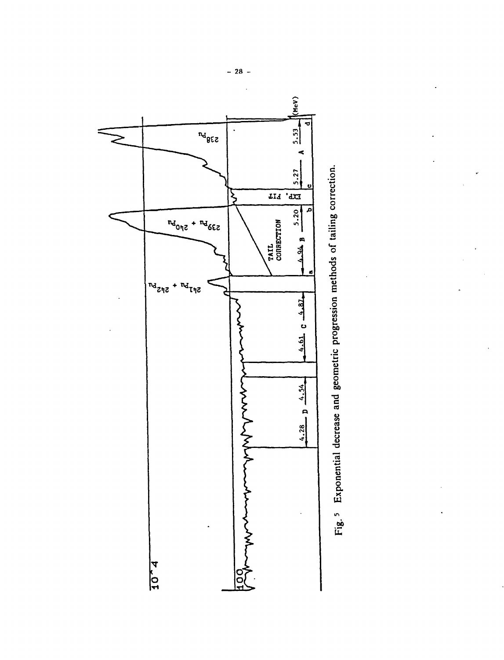

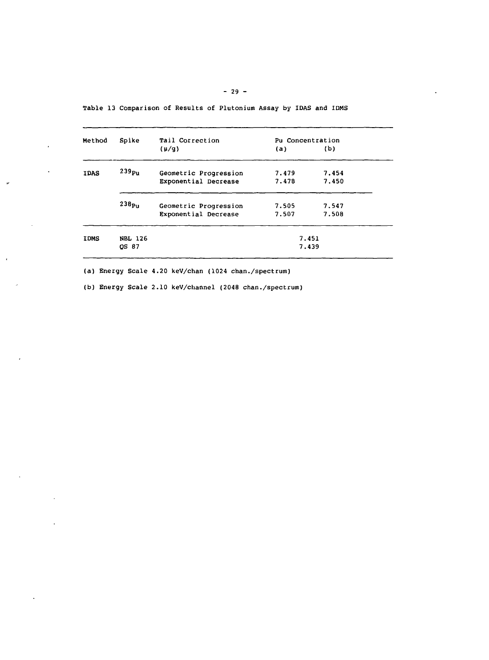| Method      | Spike             | <b>Tail Correction</b> | Pu Concentration |       |
|-------------|-------------------|------------------------|------------------|-------|
|             |                   | $(\mu/q)$              | (a)              | (b)   |
| <b>IDAS</b> | 239 <sub>Pu</sub> | Geometric Progression  | 7.479            | 7.454 |
|             |                   | Exponential Decrease   | 7.478            | 7.450 |
|             | 238 <sub>Pu</sub> | Geometric Progression  | 7.505            | 7.547 |
|             |                   | Exponential Decrease   | 7.507            | 7.508 |
| <b>IDMS</b> | <b>NBL 126</b>    |                        |                  | 7.451 |
|             | QS 87             |                        |                  | 7.439 |

Table 13 Comparison of Results of Plutonium Assay by IDAS and IDMS

(a) Energy Scale 4.20 keV/chan (1024 chan./spectrum)

 $\bullet$ 

 $\ddot{\phantom{a}}$ 

J.

 $\overline{b}$ 

(b) Energy Scale 2.10 keV/channel (2048 chan./spectrum)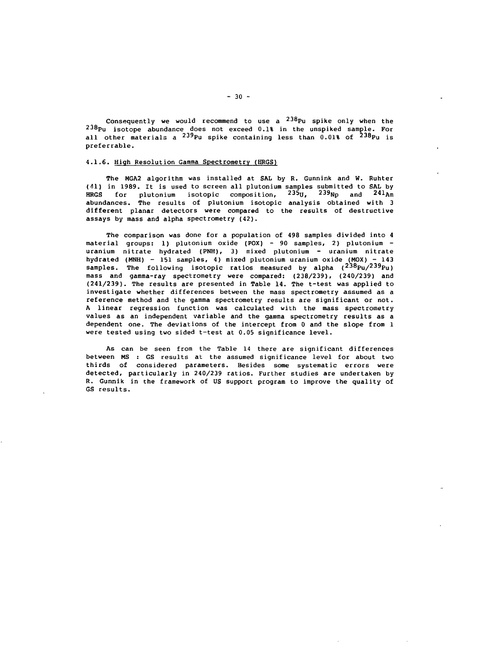Consequently we would recommend to use a  $^{238}$ Pu spike only when the 238pu isotope abundance does not exceed 0.1% in the unspiked sample. For all other materials a  $^{239}$ Pu spike containing less than 0.01% of  $^{238}$ Pu i: preferrable.

#### 4.1.6. High Resolution Gamma Spectrometry (HRGS)

The MGA2 algorithm was installed at SAL by R. Gunnink and W. Ruhter (41) in 1989. It is used to screen all plutonium samples submitted to SAL by  $\tt HRGS$  for plutonium isotopic composition,  $^{235}$ U,  $^{239}$ Np and  $^{241}$ A abundances. The results of plutonium isotopic analysis obtained with 3 different planar detectors were compared to the results of destructive assays by mass and alpha spectrometry (42).

The comparison was done for a population of 498 samples divided into 4 material groups: 1) plutonium oxide (POX) - 90 samples, 2) plutonium uranium nitrate hydrated (PNH), 3) mixed plutonium - uranium nitrate hydrated (MNH) - 151 samples, 4) mixed plutonium uranium oxide (MOX) - 143 samples. The following isotopic ratios measured by alpha (<sup>238</sup>Pu/<sup>239</sup>Pu) mass and gamma-ray spectrometry were compared: (238/239), (240/239) and (241/239). The results are presented in Table 14. The t-test was applied to investigate whether differences between the mass spectrometry assumed as a reference method and the gamma spectrometry results are significant or not. A linear regression function was calculated with the mass spectrometry values as an independent variable and the gamma spectrometry results as a dependent one. The deviations of the intercept from O and the slope from 1 were tested using two sided t-test at 0.05 significance level.

As can be seen from the Table 14 there are significant differences between MS : GS results at the assumed significance level for about two thirds of considered parameters. Besides some systematic errors were detected, particularly in 240/239 ratios. Further studies are undertaken by R. Gunnik in the framework of US support program to improve the quality of GS results.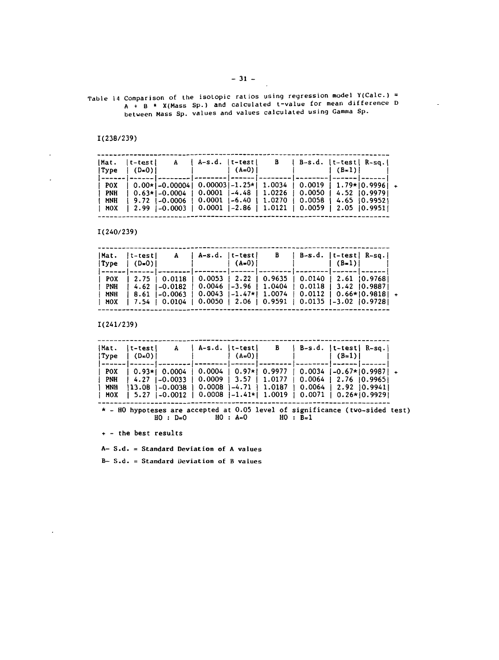Table 14 Comparison of the isotopic ratios using regression model Y(CaIc.) = A + B \* X(Mass Sp.) and calculated t-value for mean difference D between Mass Sp. values and values calculated using Gamma Sp.

1(238/239)

 $\ddot{\phantom{a}}$ 

 $\overline{a}$ 

 $\cdot$ 

| (Mat.<br> Type                    | $ t-test $<br>$  (D=0)  $ | A                                                                               | $ A-s.d.$ $ t-test $                            | $(A=0)$ | - B                                                                  |                          | B-s.d.  t-test  R-sq. <br>$(B=1)$                                                             |  |
|-----------------------------------|---------------------------|---------------------------------------------------------------------------------|-------------------------------------------------|---------|----------------------------------------------------------------------|--------------------------|-----------------------------------------------------------------------------------------------|--|
| <b>POX</b><br>PNH<br>MNH<br>I MOX |                           | $  0.00*  -0.00004 $<br>$9.72$  -0.0006   0.0001  -6.40  <br>$12.99$ $1-0.0003$ | $0.00003$  -1.25* <br>  0.0001   -2.86   1.0121 |         | 1.0034<br>$\vert$ 0.63* -0.0004   0.0001  -4.48   1.0226  <br>1.0270 | 0.0050<br>$\vert$ 0.0059 | $0.0019$   1.79* $ 0.9996$   +<br>4.52 10.99791<br>$0.0058 + 4.65 + 0.99521$<br>2.05 10.99511 |  |

1(240/239)

| Mat.                     | t-test <br>$ Type   (D=0) $ |                                          | A   A-s.d.   t-test | $( A=0 )$ |                                                                                                                                                                                                                                                                                                                                                                                | B   B-s.d.   t-test  R-sq. | $ $ (B=1) |  |
|--------------------------|-----------------------------|------------------------------------------|---------------------|-----------|--------------------------------------------------------------------------------------------------------------------------------------------------------------------------------------------------------------------------------------------------------------------------------------------------------------------------------------------------------------------------------|----------------------------|-----------|--|
| POX<br>PNH<br>MNH<br>MOX |                             | $1, 2.75$ $1, 0.0118$<br>  7.54   0.0104 |                     |           | weekkaal   waaral   www.amar   www.amaral   www.am.   www.am<br>$\vert$ 0.0053   2.22   0.9635   0.0140   2.61   0.9768  <br>  4.62   -0.0182   0.0046   -3.96   1.0404   0.0118   3.42   0.9887 <br>  8.61   -0.0063   0.0043   -1.47*  1.0074   0.0112   0.66*  0.9818   +<br>$\vert$ 0.0050 $\vert$ 2.06 $\vert$ 0.9591 $\vert$ 0.0135 $\vert$ -3.02 $\vert$ 0.9728 $\vert$ |                            |           |  |

1(241/239)

| Mat.<br> Type                   | $ t-test $<br>$ $ (D=0) $ $           | A                                     | $  A-s.d.   t-test  $ | $(A=0)$ | B                                                                                   | $ $ B-s.d. $ $ t-test $ $ R-sq. $ $                                                                                                   | $(B=1)$ |                     |  |
|---------------------------------|---------------------------------------|---------------------------------------|-----------------------|---------|-------------------------------------------------------------------------------------|---------------------------------------------------------------------------------------------------------------------------------------|---------|---------------------|--|
| <b>POX</b><br>PNH<br>MNH<br>MOX | $ 0.93* 0.0004$<br>$1, 4.27$ 1-0.0033 | 13.08 1-0.0038<br>$1.5.27$ $1-0.0012$ | 0.0008                |         | $0.0004$   $0.97*$   0.9977   0.0034<br>$0.0009$   3.57   1.0177<br>1-4.71   1.0187 | $\vert$ 0.0064   2.76 $\vert$ 0.9965  <br>  0.0064   2.92   0.9941  <br>$\vert$ 0.0008 $\vert$ -1.41*  1.0019   0.0071   0.26* 0.9929 |         | $ -0.67* 0.9987 $ + |  |

\* - HO hypoteses are accepted at 0.05 level of significance (two-sided test)  $HO : D=0$  HO :  $A=0$  HO :  $B=1$ 

+ - the best results

**A- S.d. = Standard Deviation of A values**

**B- S.d. = Standard Deviation of B values**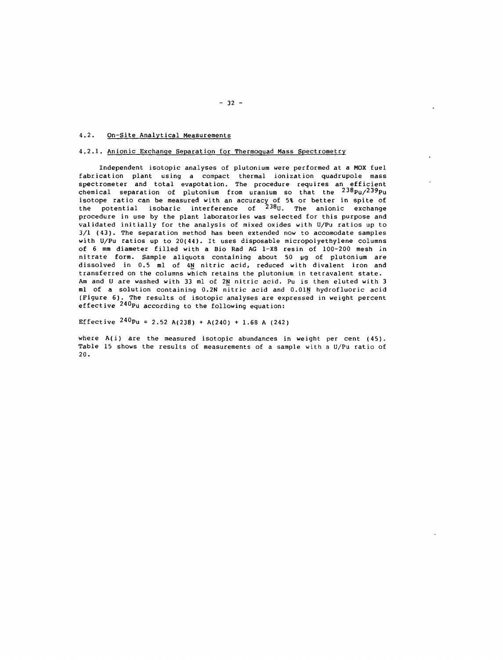# 4.2. On-Site Analytical Measurements

# 4.2.1. Anionic Exchange Separation for Thermoquad Mass Spectrometry

Independent isotopic analyses of plutonium were performed at a MOX fuel fabrication plant using a compact thermal ionization quadrupole mass spectrometer and total evapotation. The procedure requires an efficient chemical separation of plutonium from uranium so that the  $^{238}$ Pu/ $^{239}$ Pu isotope ratio can be measured with an accuracy of 5% or better in spite of the potential isobaric interference of  $^{238}$ U. The anionic exchange procedure in use by the plant laboratories was selected for this purpose and validated initially for the analysis of mixed oxides with U/Pu ratios up to 3/1 (43). The separation method has been extended now to accomodate samples with U/Pu ratios up to 20(44). It uses disposable micropolyethylene columns of 6 mm diameter filled with a Bio Rad AG 1-X8 resin of 100-200 mesh in nitrate form. Sample aliquots containing about 50 ug of plutonium are dissolved in 0.5 ml of 4N nitric acid, reduced with divalent iron and transferred on the columns which retains the plutonium in tetravalent state. Am and U are washed with 33 ml of 2N nitric acid. Pu is then eluted with 3 ml of a solution containing 0.2N nitric acid and 0.01N hydrofluoric acid (Figure 6) . The results of isotopic analyses are expressed in weight percent effective  $240p<sub>u</sub>$  according to the following equation:

Effective  $240p$ u = 2.52 A(238) + A(240) + 1.68 A (242)

where  $A(i)$  are the measured isotopic abundances in weight per cent  $(45)$ . Table 15 shows the results of measurements of a sample with a U/Pu ratio of 20.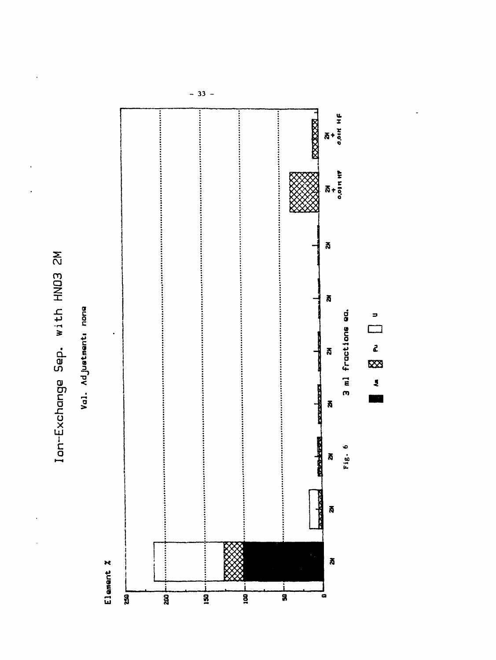

Val. Ad justment: none



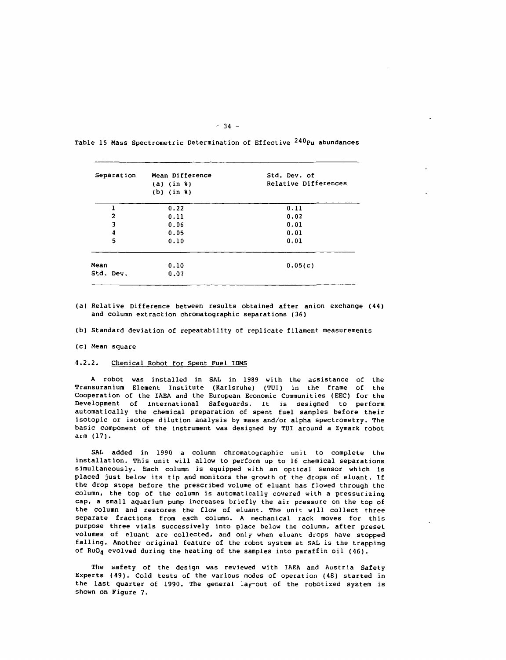| Separation     | Mean Difference<br>$(a)$ (in $\ell$ )<br>$(b)$ (in $\frac{1}{2}$ ) | Std. Dev. of<br>Relative Differences |
|----------------|--------------------------------------------------------------------|--------------------------------------|
|                | 0.22                                                               | 0.11                                 |
| $\overline{a}$ | 0.11                                                               | 0.02                                 |
| 3              | 0.06                                                               | 0.01                                 |
| 4              | 0.05                                                               | 0.01                                 |
| 5              | 0.10                                                               | 0.01                                 |
| Mean           | 0.10                                                               | 0.05(c)                              |
| Std. Dev.      | 0.07                                                               |                                      |

Table 15 Mass Spectrometric Determination of Effective <sup>240</sup>Pu abundances

 $-34 -$ 

- (a) Relative Difference between results obtained after anion exchange (44) and column extraction chromatographic separations (36)
- (b) Standard deviation of repeatability of replicate filament measurements
- (c) Mean square

### 4.2.2. Chemical Robot for Spent Fuel IDMS

A robot was installed in SAL in 1989 with the assistance of the Transuranium Element Institute (Karlsruhe) (TUI) in the frame of the Cooperation of the IAEA and the European Economic Communities (EEC) for the Development of International Safeguards. It is designed to perform automatically the chemical preparation of spent fuel samples before their isotopic or isotope dilution analysis by mass and/or alpha spectrometry. The basic component of the instrument was designed by TUI around a Zymark robot arm (17).

SAL added in 1990 a column chromatographic unit to complete the installation. This unit will allow to perform up to 16 chemical separations simultaneously. Each column is equipped with an optical sensor which is placed just below its tip and monitors the growth of the drops of eluant. If the drop stops before the prescribed volume of eluant has flowed through the column, the top of the column is automatically covered with a pressurizing cap, a small aquarium pump increases briefly the air pressure on the top of the column and restores the flow of eluant. The unit will collect three separate fractions from each column. A mechanical rack moves for this purpose three vials successively into place below the column, after preset volumes of eluant are collected, and only when eluant drops have stopped falling. Another original feature of the robot system at SAL is the trapping of  $RuO_4$  evolved during the heating of the samples into paraffin oil (46).

The safety of the design was reviewed with IAEA and Austria Safety Experts (49). Cold tests of the various modes of operation (48) started in the last quarter of 1990. The general lay-out of the robotized system is shown on Figure 7.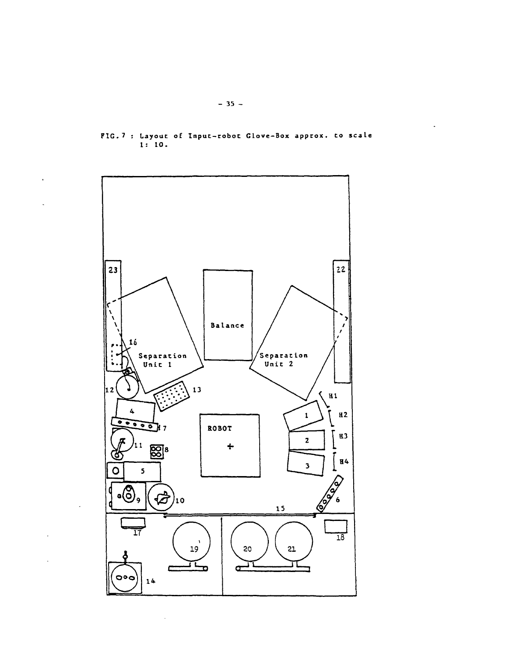

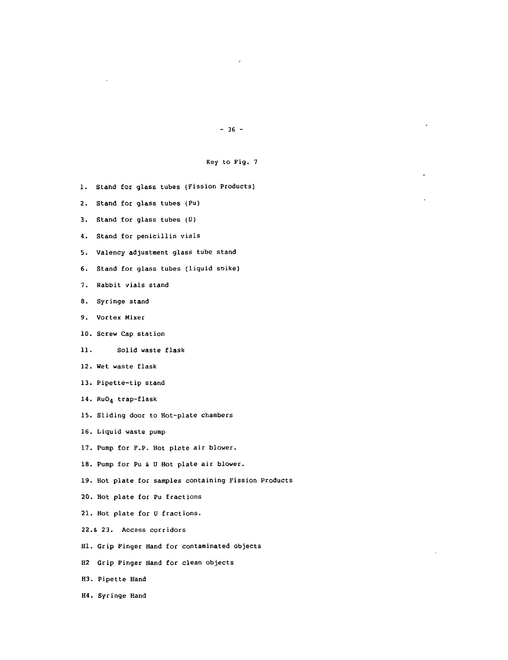# $- 36 -$

# Key to Fig. 7

- 1. Stand for glass tubes (Fission Products)
- 2. Stand for glass tubes (Pu)
- 3. Stand for glass tubes (U)
- 4. Stand for penicillin vials
- 5. Valency adjustment glass tube stand
- 6. Stand for glass tubes (liquid soike)
- 7. Rabbit vials stand
- 8. Syringe stand
- 9. Vortex Mixer
- 10. Screw Cap station
- 11. Solid waste flask
- 12. Wet waste flask
- 13. Pipette-tip stand
- 14. RuO<sub>4</sub> trap-flask
- 15. Sliding door to Hot-plate chambers
- 16. Liquid waste pump
- 17. Pump for P.P. Hot plate air blower.
- 18. Pump for Pu & U Hot plate air blower.
- 19. Hot plate for samples containing Fission Products
- 20. Hot plate for Pu fractions
- 21. Hot plate for U fractions.
- 22.S 23. Access corridors
- Hl. Grip Finger Hand for contaminated objects
- H2 Grip Finger Hand for clean objects
- H3. Pipette Hand
- H4. Syringe Hand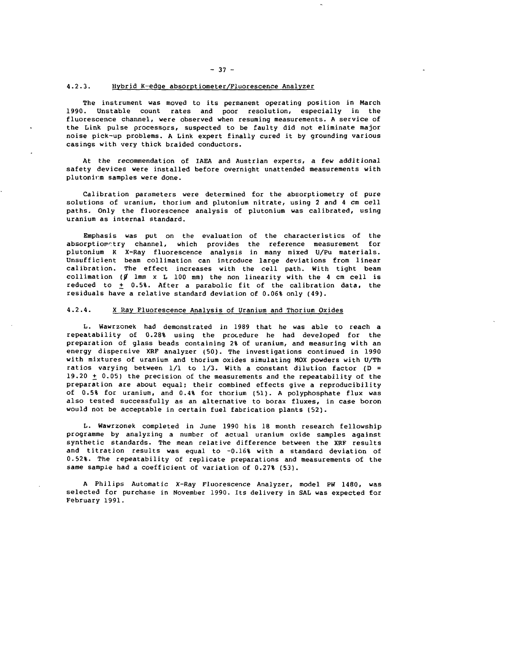# 4.2.3. Hybrid K-edge absorptiometer/Fluorescence Analyzer

The instrument was moved to its permanent operating position in March 1990. Unstable count rates and poor resolution, especially in the fluorescence channel, were observed when resuming measurements. A service of the Link pulse processors, suspected to be faulty did not eliminate major noise pick-up problems. A Link expert finally cured it by grounding various casings with very thick braided conductors.

At the recommendation of IAEA and Austrian experts, a few additional safety devices were installed before overnight unattended measurements with plutonirm samples were done.

Calibration parameters were determined for the absorptiometry of pure solutions of uranium, thorium and plutonium nitrate, using 2 and 4 cm cell paths. Only the fluorescence analysis of plutonium was calibrated, using uranium as internal standard.

Emphasis was put on the evaluation of the characteristics of the absorptiometry channel, which provides the reference measurement for plutonium K X-Ray fluorescence analysis in many mixed U/Pu materials. Unsufficient beam collimation can introduce large deviations from linear calibration. The effect increases with the cell path. With tight beam collimation ( $\emptyset$  lmm x L 100 mm) the non linearity with the 4 cm cell is reduced to  $\pm$  0.5%. After a parabolic fit of the calibration data, the residuals have a relative standard deviation of 0.06% only (49).

### 4.2.4. X Ray Fluorescence Analysis of Uranium and Thorium Oxides

L. Wawrzonek had demonstrated in 1989 that he was able to reach a repeatability of 0.28% using the procedure he had developed for the preparation of glass beads containing 2% of uranium, and measuring with an energy dispersive KRF analyzer (50). The investigations continued in 1990 with mixtures of uranium and thorium oxides simulating MOX powders with U/Th ratios varying between  $1/1$  to  $1/3$ . With a constant dilution factor (D = 19.20  $\pm$  0.05) the precision of the measurements and the repeatability of the preparation are about equal; their combined effects give a reproducibility of 0.5% for uranium, and 0.4% for thorium (51). A polyphosphate flux was also tested successfully as an alternative to borax fluxes, in case boron would not be acceptable in certain fuel fabrication plants (52).

L. Wawrzonek completed in June 1990 his 18 month research fellowship programme by analyzing a number of actual uranium oxide samples against synthetic standards. The mean relative difference between the XRF results and titration results was equal to  $-0.168$  with a standard deviation of 0.52%. The repeatability of replicate preparations and measurements of the same sample had a coefficient of variation of 0.27% (53).

A Philips Automatic X-Ray Fluorescence Analyzer, model PW 1480, was selected for purchase in November 1990. Its delivery in SAL was expected for February 1991.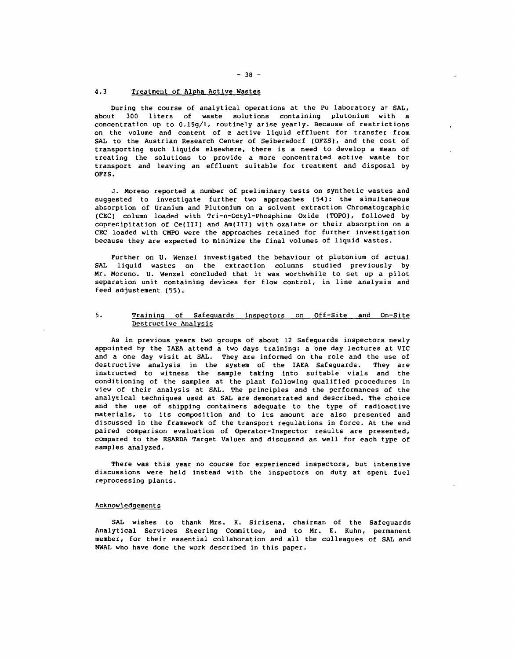# 4.3 Treatment of Alpha Active Wastes

During the course of analytical operations at the Pu laboratory at SAL, about 300 liters of waste solutions containing plutonium with a concentration up to 0.15g/l, routinely arise yearly. Because of restrictions on the volume and content of  $\alpha$  active liquid effluent for transfer from SAL to the Austrian Research Center of Seibersdorf (OFZS), and the cost of transporting such liquids elsewhere, there is a need to develop a mean of treating the solutions to provide a more concentrated active waste for transport and leaving an effluent suitable for treatment and disposal by OFZS.

J. Moreno reported a number of preliminary tests on synthetic wastes and suggested to investigate further two approaches (54): the simultaneous absorption of Uranium and Plutonium on a solvent extraction Chromatographic (CEC) column loaded with Tri-n-Octyl-Phosphine Oxide (TOPO), followed by coprecipitation of Ce(III) and Am(III) with oxalate or their absorption on a CEC loaded with CMPO were the approaches retained for further investigation because they are expected to minimize the final volumes of liquid wastes.

Further on U. Wenzel investigated the behaviour of plutonium of actual SAL liquid wastes on the extraction columns studied previously by Mr. Moreno. U. Wenzel concluded that it was worthwhile to set up a pilot separation unit containing devices for flow control, in line analysis and feed adjustement (55).

# 5. Training of Safeguards inspectors on Off-Site and On-Site Destructive Analysis

As in previous years two groups of about 12 Safeguards inspectors newly appointed by the IAEA attend a two days training: a one day lectures at VIC and a one day visit at SAL. They are informed on the role and the use of destructive analysis in the system of the IAEA Safeguards. They are instructed to witness the sample taking into suitable vials and the conditioning of the samples at the plant following qualified procedures in view of their analysis at SAL. The principles and the performances of the analytical techniques used at SAL are demonstrated and described. The choice and the use of shipping containers adequate to the type of radioactive materials, to its composition and to its amount are also presented and discussed in the framework of the transport regulations in force. At the end paired comparison evaluation of Operator-Inspector results are presented, compared to the ESARDA Target Values and discussed as well for each type of samples analyzed.

There was this year no course for experienced inspectors, but intensive discussions were held instead with the inspectors on duty at spent fuel reprocessing plants.

#### Acknowledgements

SAL wishes to thank Mrs. K. Sirisena, chairman of the Safeguards Analytical Services Steering Committee, and to Mr. E. Kuhn, permanent member, for their essential collaboration and all the colleagues of SAL and NWAL who have done the work described in this paper.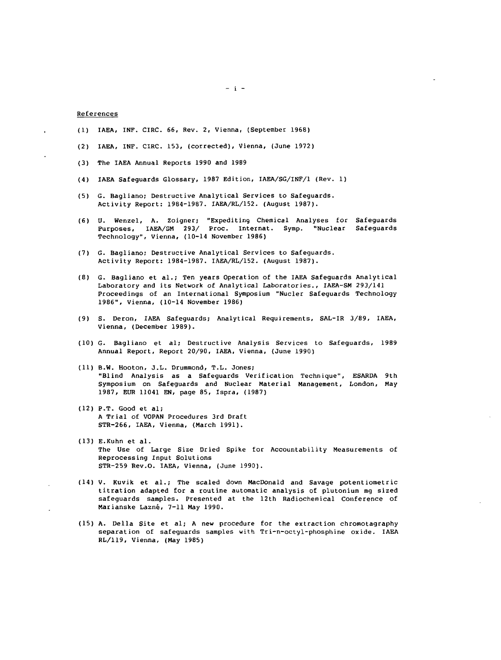### References

- (1) IAEA, INF. CIRC. 66, Rev. 2, Vienna, (September 1968)
- (2) IAEA, INF. CIRC. 153, (corrected), Vienna, (June 1972)
- (3) The IAEA Annual Reports 1990 and 1989
- (4) IAEA Safeguards Glossary, 1987 Edition, IAEA/SG/INF/1 (Rev. 1)
- (5) G. Bagliano; Destructive Analytical Services to Safeguards. Activity Report: 1984-1987. IAEA/RL/152. (August 1987).
- (6) U. Wenzel, A. Zoigner; "Expediting Chemical Analyses for Safeguards Purposes, IAEA/SM 293/ Proc. Internat. Symp. "Nuclear Safeguards Technology", Vienna, (10-14 November 1986)
- (7) G. Bagliano; Destructive Analytical Services to Safeguards. Activity Report: 1984-1987. IAEA/RL/152. (August 1987).
- (8) G. Bagliano et al.; Ten years Operation of the IAEA Safeguards Analytical Laboratory and its Network of Analytical Laboratories., IAEA-SM 293/141 Proceedings of an International Symposium "Nucler Safeguards Technology 1986", Vienna, (10-14 November 1986)
- (9) S. Deron, IAEA Safeguards; Analytical Requirements, SAL-IR 3/89, IAEA, Vienna, (December 1989).
- (10) G. Bagliano et al; Destructive Analysis Services to Safeguards, 1989 Annual Report, Report 20/90, IAEA, Vienna, (June 1990)
- (11) B.W. Hooton, J.L. Drummond, T.L. Jones; "Blind Analysis as a Safeguards Verification Technique", ESARDA 9th Symposium on Safeguards and Nuclear Material Management, London, May 1987, EUR 11041 EN, page 85, Ispra, (1987)
- (12) P.T. Good et al; A Trial of VOPAN Procedures 3rd Draft STR-266, IAEA, Vienna, (March 1991).
- (13) E.Kuhn et al. The Use of Large Size Dried Spike for Accountability Measurements of Reprocessing Input Solutions STR-259 Rev.O. IAEA, Vienna, (June 1990).
- (14) V. Kuvik et al.; The scaled down MacDonald and Savage potentiometric titration adapted for a routine automatic analysis of plutonium mg sized safeguards samples. Presented at the 12th Radiochemical Conference of Marianske Lazné, 7-11 May 1990.
- (15) A. Delia Site et al; A new procedure for the extraction chromotagraphy separation of safeguards samples with Tri-n-octyl-phosphine oxide. IAEA RL/119, Vienna, (May 1985)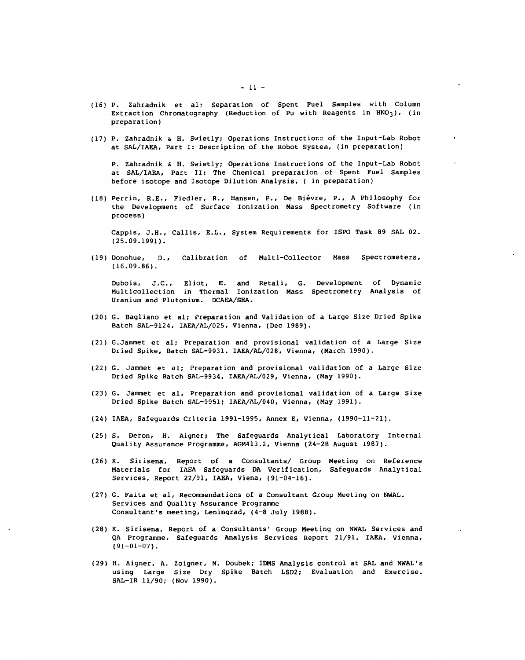- (16) P. Zahradnik et al; Separation of Spent Fuel Samples with Column Extraction Chromatography (Reduction of Pu with Reagents in HNO<sub>3</sub>), (in preparation)
- (17) P. Zahradnik & H. Swietly; Operations Instructions of the Input-Lab Robot at SAL/IAEA, Part I: Description of the Robot System, (in preparation)

P. Zahradnik & H. Swietly; Operations Instructions of the Input-Lab Robot at SAL/IAEA, Part II: The Chemical preparation of Spent Fuel Samples before isotope and Isotope Dilution Analysis, ( in preparation)

(18) Perrin, R.E., Fiedler, R., Hansen, P., De Bièvre, P., A Philosophy for the Development of Surface lonization Mass Spectrometry Software (in process)

Cappis, J.H., Callis, E.L., System Requirements for ISPO Task 89 SAL 02. (25.09.1991).

(19) Donohue, D., Calibration of Multi-Collector Mass Spectrometers, (16.09.86).

Dubois, J.C., Eliot, E. and Retail, G. Development of Dynamic Multicollection in Thermal lonization Mass Spectrometry Analysis of Uranium and Plutonium. DCAEA/SEA.

- (20) G. Bagliano et al; Preparation and Validation of a Large Size Dried Spike Batch SAL-9124, IAEA/AL/025, Vienna, (Dec 1989).
- (21) G.Jammet et al; Preparation and provisional validation of a Large Size Dried Spike, Batch SAL-9931. IAEA/AL/028, Vienna, (March 1990).
- (22) G. Jammet et al; Preparation and provisional validation of a Large Size Dried Spike Batch SAL-9934, IAEA/AL/029, Vienna, (May 1990).
- (23) G. Jammet et al. Preparation and provisional validation of a Large Size Dried Spike Batch SAL-9951; IAEA/AL/040, Vienna, (May 1991).
- (24) IAEA, Safeguards Criteria 1991-1995, Annex E, Vienna, (1990-11-21).
- (25) S. Deron, H. Aigner; The Safeguards Analytical Laboratory Internal Quality Assurance Programme, AGM413.2, Vienna (24-28 August 1987).
- (26) K. Sirisena, Report of a Consultants/ Group Meeting on Reference Materials for IAEA Safeguards DA Verification, Safeguards Analytical Services, Report 22/91, IAEA, Viena, (91-04-16).
- (27) G. Falta et al, Recommendations of a Consultant Group Meeting on NWAL. Services and Quality Assurance Programme Consultant's meeting, Leningrad, (4-8 July 1988).
- (28) K. Sirisena, Report of a Consultants' Group Meeting on NWAL Services and QA Programme, Safeguards Analysis Services Report 21/91, IAEA, Vienna, (91-01-07).
- (29) H. Aigner, A. Zoigner, N. Doubek; IDMS Analysis control at SAL and NWAL's using Large Size Dry Spike Batch LSD2; Evaluation and Exercise. SAL-IR 11/90; (Nov 1990).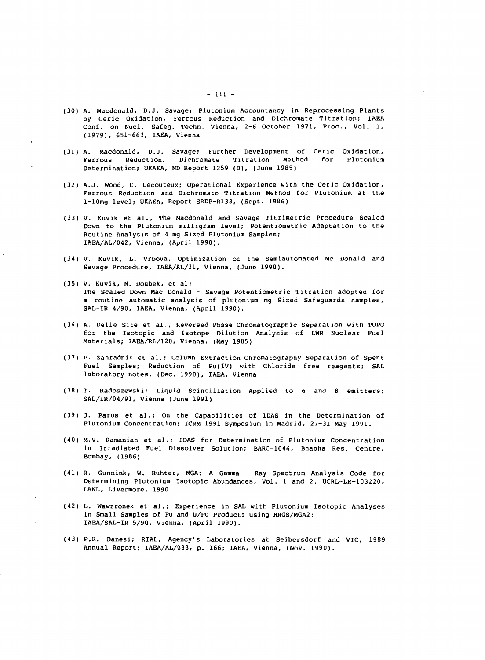- (30) A. Macdonald, D.J. Savage; Plutonium Accountancy in Reprocessing Plants by Ceric Oxidation, Ferrous Reduction and Dichromate Titration; IAEA Conf. on Nucl. Safeg. Techn. Vienna, 2-6 October 197i, Proc., Vol. 1, (1979), 651-663, IAEA, Vienna
- (31) A. Macdonald, D.J. Savage; Further Development of Ceric Oxidation, Ferrous Reduction, Dichromate Titration Method for Plutonium Determination; UKAEA, ND Report 1259 (D), (June 1985)
- (32) A.J. Wood. C. Lecouteux; Operational Experience with the Ceric Oxidation, Ferrous Reduction and Dichromate Titration Method for Plutonium at the l-10mg level; UKAEA, Report SRDP-R133, (Sept. 1986)
- (33) V. Kuvik et al.. The Macdonald and Savage Titrimetric Procedure Scaled Down to the Plutonium milligram level; Potentiometric Adaptation to the Routine Analysis of 4 mg Sized Plutonium Samples; IAEA/AL/042, Vienna, (April 1990).
- (34) V. Kuvik, L. Vrbova, Optimization of the Semiautomated Mc Donald and Savage Procedure, IAEA/AL/31, Vienna, (June 1990).
- (35) V. Kuvik, N. Doubek, et al; The Scaled Down Mac Donald - Savage Potentiometric Titration adopted for a routine automatic analysis of plutonium mg Sized Safeguards samples, SAL-IR 4/90, IAEA, Vienna, (April 1990).
- (36) A. Delle Site et al., Reversed Phase Chromatographic Separation with TOPO for the Isotopic and Isotope Dilution Analysis of LWR Nuclear Fuel Materials; IAEA/RL/120, Vienna, (May 1985)
- (37) P. Zahradnik et al.; Column Extraction Chromatography Separation of Spent Fuel Samples; Reduction of Pu(IV) with Chloride free reagents; SAL laboratory notes, (Dec. 1990), IAEA, Vienna
- (38) T. Radoszewski; Liquid Scintillation Applied to  $\alpha$  and  $\beta$  emitters; SAL/IR/04/91, Vienna (June 1991)
- (39) J. Parus et al.; On the Capabilities of IDAS in the Determination of Plutonium Concentration; ICRM 1991 Symposium in Madrid, 27-31 May 1991.
- (40) M.V. Ramaniah et al.; IDAS for Determination of Plutonium Concentration in Irradiated Fuel Dissolver Solution; BARC-1046, Bhabha Res. Centre, Bombay, (1986)
- (41) R. Gunnink, W. Ruhter, MGA: A Gamma Ray Spectrum Analysis Code for Determining Plutonium Isotopic Abundances, Vol. 1 and 2. UCRL-LR-103220, LANL, Livermore, 1990
- (42) L. Wawzronek et al.; Experience in SAL with Plutonium Isotopic Analyses in Small Samples of Pu and U/Pu Products using HRGS/MGA2; IAEA/SAL-IR 5/90, Vienna, (April 1990).
- (43) P.R. Danesi; RIAL, Agency's Laboratories at Seibersdorf and VIC, 1989 Annual Report; IAEA/AL/033, p. 166; IAEA, Vienna, (Nov. 1990).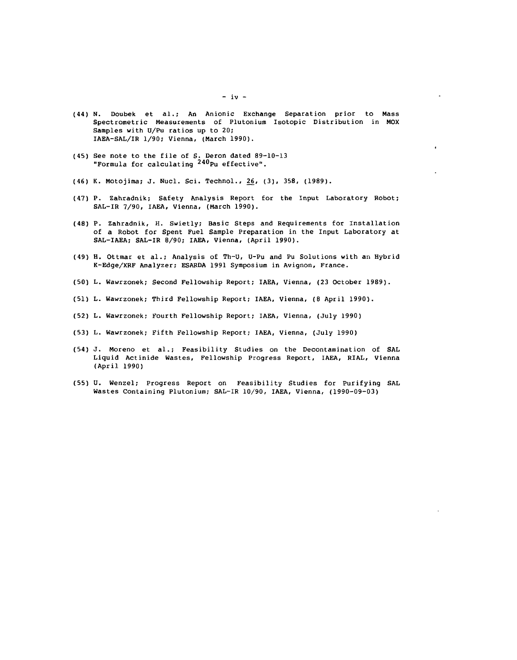- (44) N. Doubek et al.; An Anionic Exchange Separation prior to Mass Spectrometric Measurements of Plutonium Isotopic Distribution in MOX Samples with U/Pu ratios up to 20; IAEA-SAL/IR 1/90; Vienna, (March 1990).
- (45) See note to the file of S. Deron dated 89-10-13 "Formula for calculating <sup>240</sup>Pu effective".
- (46) K. Motojima; J. Nucl. Sci. Technol., 26, (3), 358, (1989).
- (47) P. Zahradnik; Safety Analysis Report for the Input Laboratory Robot; SAL-IR 7/90, IAEA, Vienna, (March 1990).
- (48) P. Zahradnik, H. Swietly; Basic Steps and Requirements for Installation of a Robot for Spent Fuel Sample Preparation in the Input Laboratory at SAL-IAEA; SAL-IR 8/90; IAEA, Vienna, (April 1990).
- (49) H. Ottmar et al.; Analysis of Th-U, U-Pu and Pu Solutions with an Hybrid K-Edge/XRF Analyzer; ESARDA 1991 Symposium in Avignon, France.
- (50) L. Wawrzonek; Second Fellowship Report; IAEA, Vienna, (23 October 1989).
- (51) L. Wawrzonek; Third Fellowship Report; IAEA, Vienna, (8 April 1990).
- (52) L. Wawrzonek; Fourth Fellowship Report; IAEA, Vienna, (July 1990)
- (53) L. Wawrzonek; Fifth Fellowship Report; IAEA, Vienna, (July 1990)
- (54) J. Moreno et al.; Feasibility Studies on the Decontamination of SAL Liquid Actinide Wastes, Fellowship Progress Report, IAEA, RIAL, Vienna (April 1990)
- (55) U. Wenzel; Progress Report on Feasibility Studies for Purifying SAL Wastes Containing Plutonium; SAL-IR 10/90, IAEA, Vienna, (1990-09-03)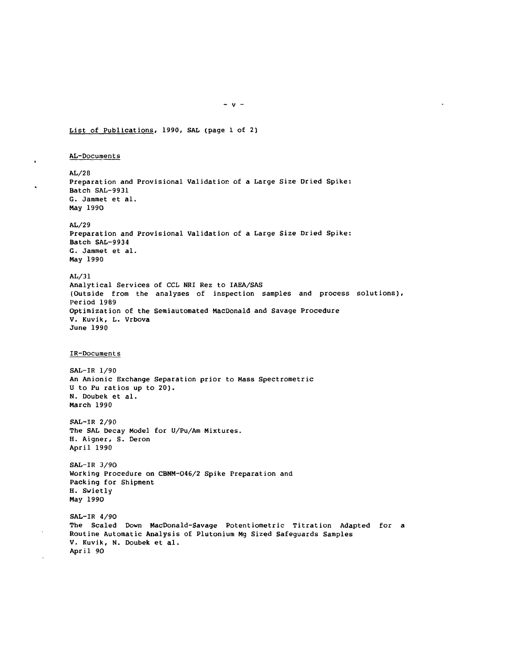List of Publications, 1990, SAL (page 1 of 2)

AL-Documents

 $\ddot{\phantom{a}}$ 

AL/28 Preparation and Provisional Validation of a Large Size Dried Spike: Batch SAL-9931 G. Jammet et al. May 1990 AL/29 Preparation and Provisional Validation of a Large Size Dried Spike: Batch SAL-9934 G. Jammet et al. May 1990 AL/31 Analytical Services of CCL NRI Rez to IAEA/SAS (Outside from the analyses of inspection samples and process solutions). Period 1989 Optimization of the Semiautomated HacDonald and Savage Procedure V. Kuvik, L. Vrbova June 1990 IR-Documents SAL-IR 1/90 An Anionic Exchange Separation prior to Mass Spectrometric U to Pu ratios up to 20). N. Doubek et al. March 1990 SAL-IR 2/90 The SAL Decay Model for 0/Pu/Am Mixtures. H. Aigner, S. Deron April 1990

SAL-IR 3/90 Working Procedure on CBNM-046/2 Spike Preparation and Packing for Shipment H. Swietly May 1990

SAL-IR 4/90 The Scaled Down MacDonald-Savage Potentiometric Titration Adapted for a Routine Automatic Analysis of Plutonium Mg Sized Safeguards Samples V. Kuvik, N. Doubek et al. April 90

 $- v -$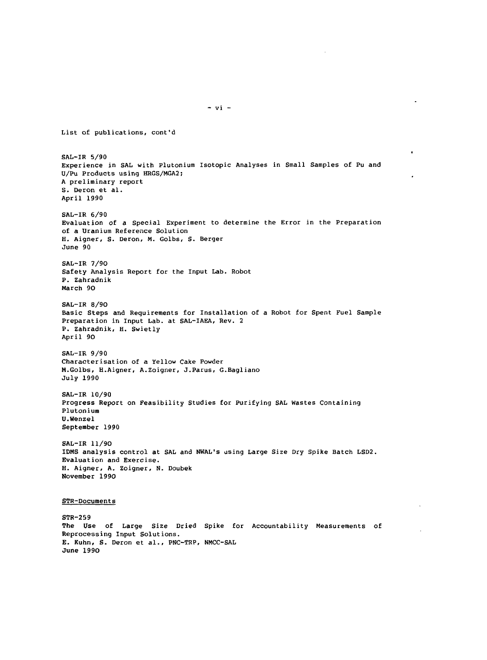List of publications, cont'd SAL-IR 5/90 Experience in SAL with Plutonium Isotopic Analyses in Small Samples of Pu and U/Pu Products using HRGS/MGA2; A preliminary report S. Deron et al. April 1990 SAL-IR 6/90 Evaluation of a Special Experiment to determine the Error in the Preparation of a Uranium Reference Solution H. Aigner, S. Deron, M. Golbs, S. Berger June 90 SAL-IR 7/9O Safety Analysis Report for the Input Lab. Robot P. Zahradnik March 9O SAL-IR 8/90 Basic Steps and Requirements for Installation of a Robot for Spent Fuel Sample Preparation in Input Lab. at SAL-IAEA, Rev. 2 P. Zahradnik, H. Swietly April 9O SAL-IR 9/90 Characterisation of a Yellow Cake Powder M.Golbs, H.Aigner, A.Zoigner, J.Parus, G.Bagliano July 1990 SAL-IR 10/90 Progress Report on Feasibility Studies for Purifying SAL Wastes Containing Plutonium U.Wenzel September 1990 SAL-IR 11/90 IDMS analysis control at SAL and NWAL's using Large Size Dry Spike Batch LSD2. Evaluation and Exercise. H. Aigner, A. Zoigner, N. Doubek November 1990 STR-Documents STR-259 The Use of Large Size Dried Spike for Accountability Measurements of Reprocessing Input Solutions. E. Kuhn, S. Deron et al., PNC-TRP, NMCC-SAL

June 199O

 $- vi -$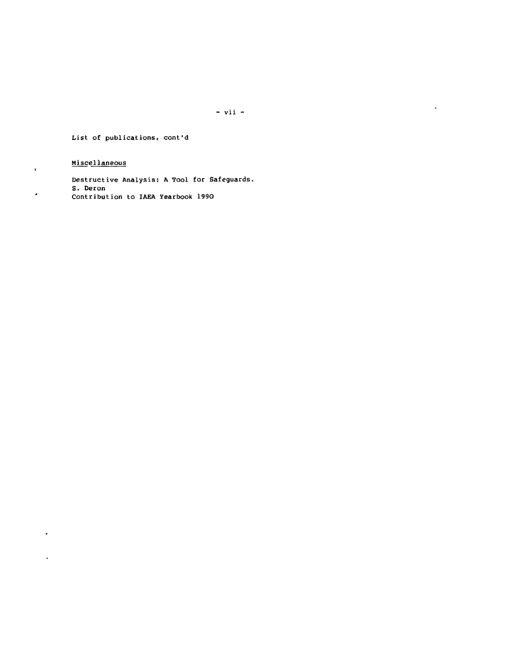$- vii -$ 

 $\overline{\phantom{a}}$ 

List of publications, cont'd

# Miscellaneous

 $\hat{\mathbf{v}}$ 

 $\hat{\phantom{a}}$ 

 $\epsilon$ 

 $\sqrt{2}$ 

Destructive Analysis: A Tool for Safeguards. S. Deron Contribution to IAEA Yearbook 1990